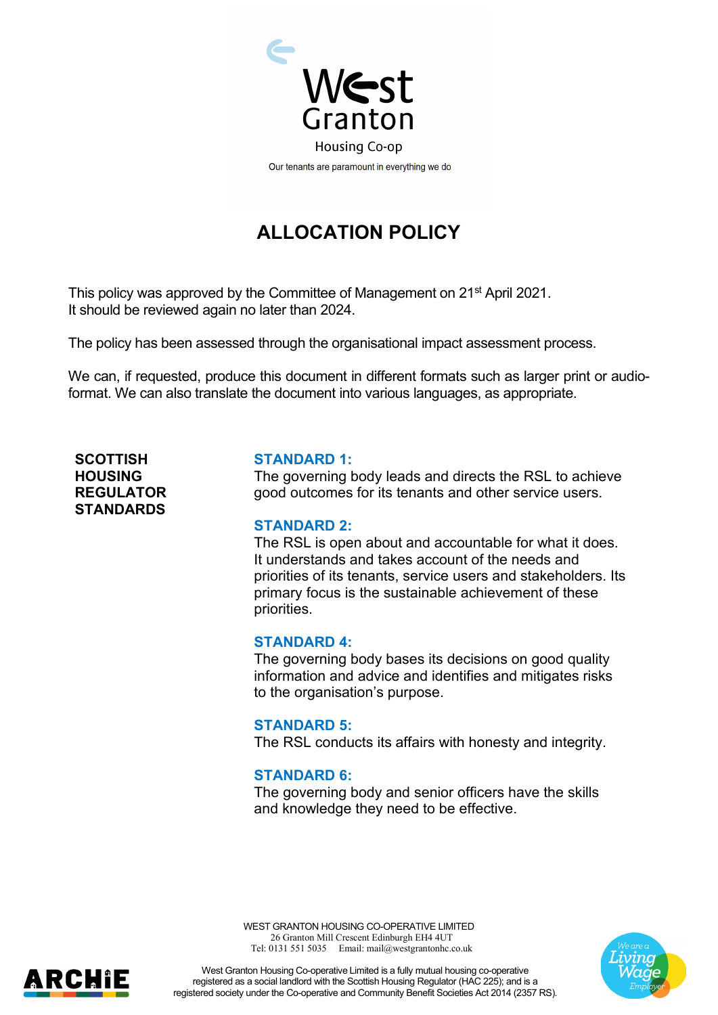

# **ALLOCATION POLICY**

This policy was approved by the Committee of Management on 21<sup>st</sup> April 2021. It should be reviewed again no later than 2024.

The policy has been assessed through the organisational impact assessment process.

We can, if requested, produce this document in different formats such as larger print or audioformat. We can also translate the document into various languages, as appropriate.

**SCOTTISH HOUSING REGULATOR STANDARDS**

#### **STANDARD 1:**

The governing body leads and directs the RSL to achieve good outcomes for its tenants and other service users.

#### **STANDARD 2:**

The RSL is open about and accountable for what it does. It understands and takes account of the needs and priorities of its tenants, service users and stakeholders. Its primary focus is the sustainable achievement of these priorities.

#### **STANDARD 4:**

The governing body bases its decisions on good quality information and advice and identifies and mitigates risks to the organisation's purpose.

#### **STANDARD 5:**

The RSL conducts its affairs with honesty and integrity.

#### **STANDARD 6:**

The governing body and senior officers have the skills and knowledge they need to be effective.

WEST GRANTON HOUSING CO-OPERATIVE LIMITED 26 Granton Mill Crescent Edinburgh EH4 4UT Tel: 0131 551 5035 Email: mail@westgrantonhc.co.uk





West Granton Housing Co-operative Limited is a fully mutual housing co-operative registered as a social landlord with the Scottish Housing Regulator (HAC 225); and is a registered society under the Co-operative and Community Benefit Societies Act 2014 (2357 RS).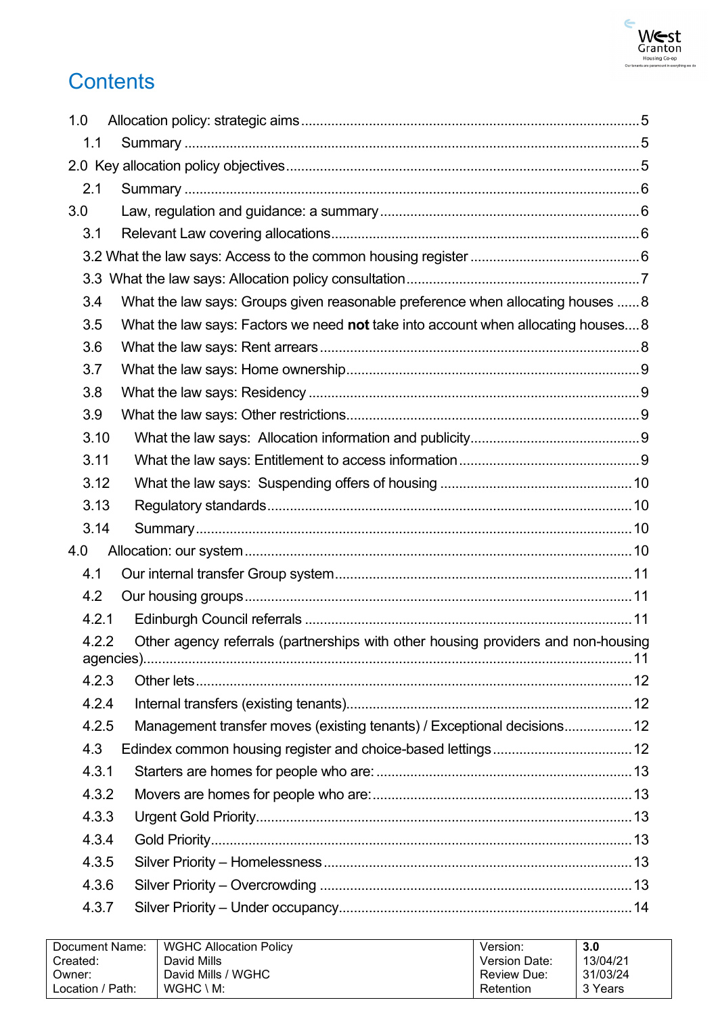

# **Contents**

| 1.0   |                                                                                   |  |
|-------|-----------------------------------------------------------------------------------|--|
| 1.1   |                                                                                   |  |
|       |                                                                                   |  |
| 2.1   |                                                                                   |  |
| 3.0   |                                                                                   |  |
| 3.1   |                                                                                   |  |
|       |                                                                                   |  |
|       |                                                                                   |  |
| 3.4   | What the law says: Groups given reasonable preference when allocating houses  8   |  |
| 3.5   | What the law says: Factors we need not take into account when allocating houses 8 |  |
| 3.6   |                                                                                   |  |
| 3.7   |                                                                                   |  |
| 3.8   |                                                                                   |  |
| 3.9   |                                                                                   |  |
| 3.10  |                                                                                   |  |
| 3.11  |                                                                                   |  |
| 3.12  |                                                                                   |  |
| 3.13  |                                                                                   |  |
| 3.14  |                                                                                   |  |
| 4.0   |                                                                                   |  |
| 4.1   |                                                                                   |  |
| 4.2   |                                                                                   |  |
| 4.2.1 |                                                                                   |  |
| 4.2.2 | Other agency referrals (partnerships with other housing providers and non-housing |  |
| 4.2.3 |                                                                                   |  |
| 4.2.4 |                                                                                   |  |
| 4.2.5 | Management transfer moves (existing tenants) / Exceptional decisions 12           |  |
| 4.3   |                                                                                   |  |
| 4.3.1 |                                                                                   |  |
| 4.3.2 |                                                                                   |  |
| 4.3.3 |                                                                                   |  |
| 4.3.4 |                                                                                   |  |
| 4.3.5 |                                                                                   |  |
| 4.3.6 |                                                                                   |  |
| 4.3.7 |                                                                                   |  |
|       |                                                                                   |  |

| Document Name:   | <b>WGHC Allocation Policy</b> | Version:             | 3.0      |
|------------------|-------------------------------|----------------------|----------|
| Created:         | David Mills                   | <b>Version Date:</b> | 13/04/21 |
| Owner:           | David Mills / WGHC            | <b>Review Due:</b>   | 31/03/24 |
| Location / Path: | $WGHC \setminus M$ :          | Retention            | 3 Years  |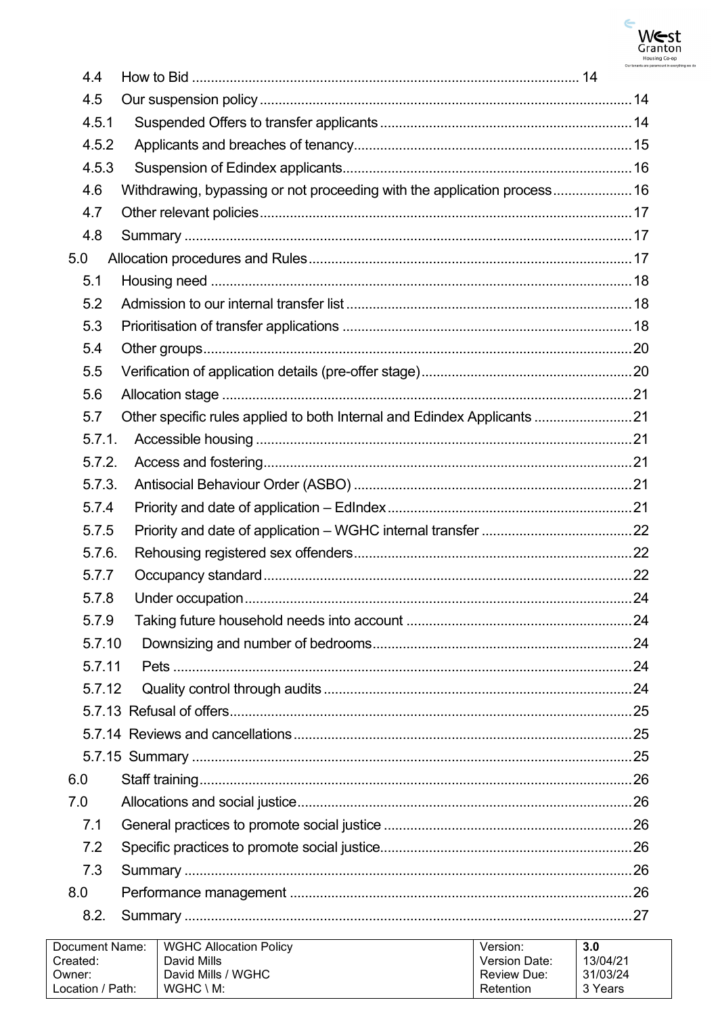

|     | 4.4    |                                                                          |  |
|-----|--------|--------------------------------------------------------------------------|--|
|     | 4.5    |                                                                          |  |
|     | 4.5.1  |                                                                          |  |
|     | 4.5.2  |                                                                          |  |
|     | 4.5.3  |                                                                          |  |
|     | 4.6    | Withdrawing, bypassing or not proceeding with the application process 16 |  |
|     | 4.7    |                                                                          |  |
|     | 4.8    |                                                                          |  |
|     | 5.0    |                                                                          |  |
|     | 5.1    |                                                                          |  |
|     | 5.2    |                                                                          |  |
|     | 5.3    |                                                                          |  |
|     | 5.4    |                                                                          |  |
|     | 5.5    |                                                                          |  |
|     | 5.6    |                                                                          |  |
|     | 5.7    | Other specific rules applied to both Internal and Edindex Applicants 21  |  |
|     | 5.7.1. |                                                                          |  |
|     | 5.7.2. |                                                                          |  |
|     | 5.7.3. |                                                                          |  |
|     | 5.7.4  |                                                                          |  |
|     | 5.7.5  |                                                                          |  |
|     | 5.7.6. |                                                                          |  |
|     | 5.7.7  |                                                                          |  |
|     | 5.7.8  |                                                                          |  |
|     | 5.7.9  |                                                                          |  |
|     | 5.7.10 |                                                                          |  |
|     | 5.7.11 |                                                                          |  |
|     | 5.7.12 |                                                                          |  |
|     |        |                                                                          |  |
|     |        |                                                                          |  |
|     |        |                                                                          |  |
| 6.0 |        |                                                                          |  |
|     | 7.0    |                                                                          |  |
|     | 7.1    |                                                                          |  |
|     | 7.2    |                                                                          |  |
|     | 7.3    |                                                                          |  |
| 8.0 |        |                                                                          |  |
|     | 8.2.   |                                                                          |  |
|     |        |                                                                          |  |

| Document Name:   | <b>WGHC Allocation Policy</b> | Version:             | 3.0      |
|------------------|-------------------------------|----------------------|----------|
| Created:         | David Mills                   | <b>Version Date:</b> | 13/04/21 |
| Owner:           | David Mills / WGHC            | <b>Review Due:</b>   | 31/03/24 |
| Location / Path: | $WGHC \setminus M$ :          | Retention            | 3 Years  |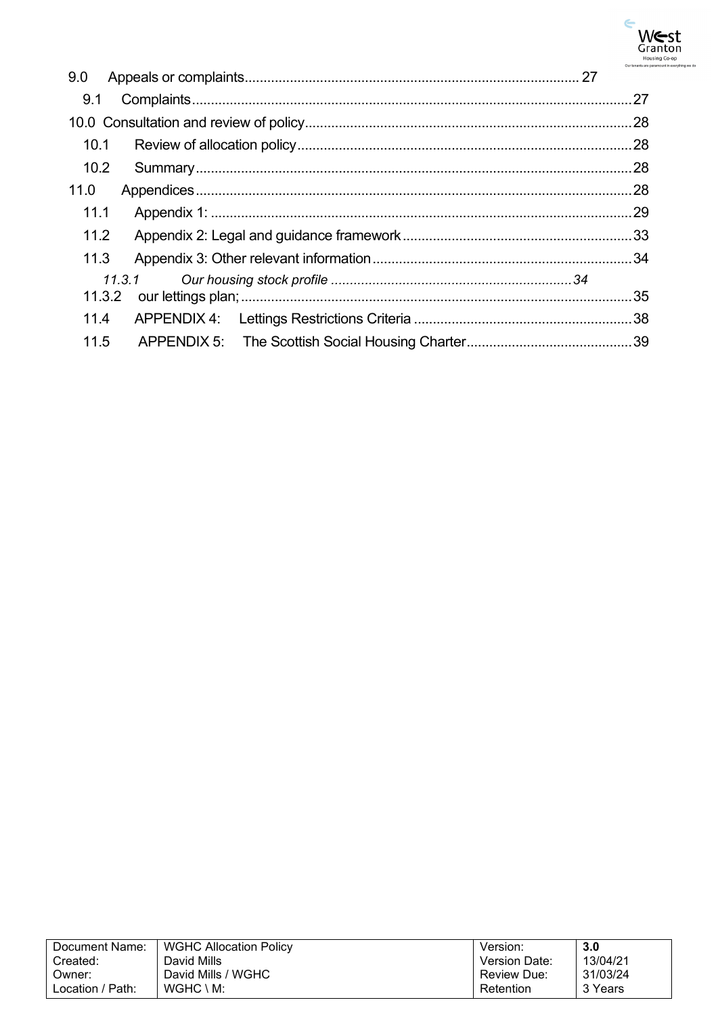

| .27 |
|-----|
|     |
|     |
|     |
|     |
|     |
|     |
|     |
|     |
|     |
|     |
|     |
|     |

| Document Name:   | <b>WGHC Allocation Policy</b> | Version:      | 3.0      |
|------------------|-------------------------------|---------------|----------|
| Created:         | David Mills                   | Version Date: | 13/04/21 |
| Owner:           | David Mills / WGHC            | Review Due:   | 31/03/24 |
| Location / Path: | $WGHC \setminus M$ :          | Retention     | 3 Years  |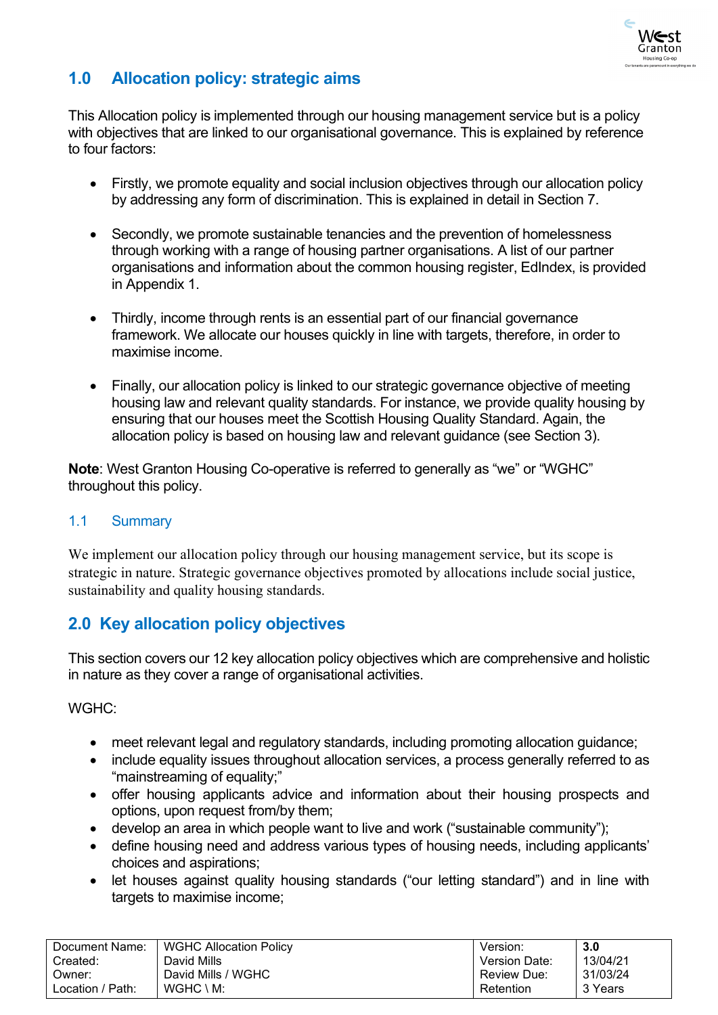

# <span id="page-4-0"></span>**1.0 Allocation policy: strategic aims**

This Allocation policy is implemented through our housing management service but is a policy with objectives that are linked to our organisational governance. This is explained by reference to four factors:

- Firstly, we promote equality and social inclusion objectives through our allocation policy by addressing any form of discrimination. This is explained in detail in Section 7.
- Secondly, we promote sustainable tenancies and the prevention of homelessness through working with a range of housing partner organisations. A list of our partner organisations and information about the common housing register, EdIndex, is provided in Appendix 1.
- Thirdly, income through rents is an essential part of our financial governance framework. We allocate our houses quickly in line with targets, therefore, in order to maximise income.
- Finally, our allocation policy is linked to our strategic governance objective of meeting housing law and relevant quality standards. For instance, we provide quality housing by ensuring that our houses meet the Scottish Housing Quality Standard. Again, the allocation policy is based on housing law and relevant guidance (see Section 3).

**Note**: West Granton Housing Co-operative is referred to generally as "we" or "WGHC" throughout this policy.

# <span id="page-4-1"></span>1.1 Summary

We implement our allocation policy through our housing management service, but its scope is strategic in nature. Strategic governance objectives promoted by allocations include social justice, sustainability and quality housing standards.

# <span id="page-4-2"></span>**2.0 Key allocation policy objectives**

This section covers our 12 key allocation policy objectives which are comprehensive and holistic in nature as they cover a range of organisational activities.

WGHC:

- meet relevant legal and regulatory standards, including promoting allocation guidance;
- include equality issues throughout allocation services, a process generally referred to as "mainstreaming of equality;"
- offer housing applicants advice and information about their housing prospects and options, upon request from/by them;
- develop an area in which people want to live and work ("sustainable community");
- define housing need and address various types of housing needs, including applicants' choices and aspirations;
- let houses against quality housing standards ("our letting standard") and in line with targets to maximise income;

| Document Name:   | <b>WGHC Allocation Policy</b> | Version.      | 3.0      |
|------------------|-------------------------------|---------------|----------|
| Created:         | David Mills                   | Version Date: | 13/04/21 |
| Owner:           | David Mills / WGHC            | Review Due:   | 31/03/24 |
| Location / Path: | $WGHC \setminus M$ :          | Retention     | 3 Years  |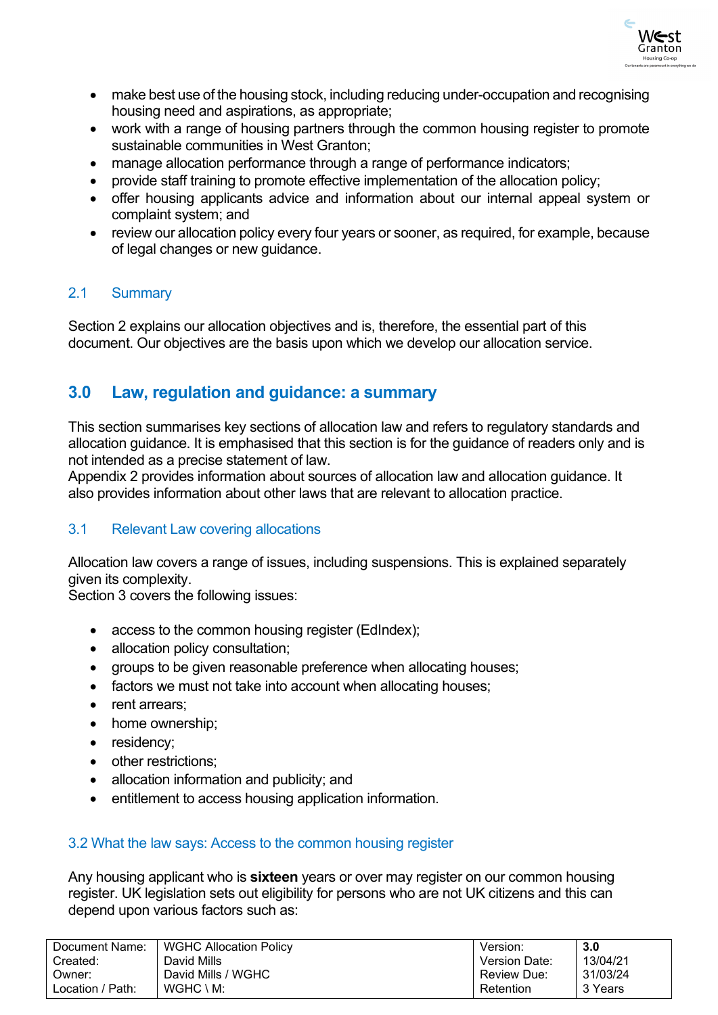

- make best use of the housing stock, including reducing under-occupation and recognising housing need and aspirations, as appropriate;
- work with a range of housing partners through the common housing register to promote sustainable communities in West Granton;
- manage allocation performance through a range of performance indicators;
- provide staff training to promote effective implementation of the allocation policy;
- offer housing applicants advice and information about our internal appeal system or complaint system; and
- review our allocation policy every four years or sooner, as required, for example, because of legal changes or new guidance.

# <span id="page-5-0"></span>2.1 Summary

Section 2 explains our allocation objectives and is, therefore, the essential part of this document. Our objectives are the basis upon which we develop our allocation service.

# <span id="page-5-1"></span>**3.0 Law, regulation and guidance: a summary**

This section summarises key sections of allocation law and refers to regulatory standards and allocation guidance. It is emphasised that this section is for the guidance of readers only and is not intended as a precise statement of law.

Appendix 2 provides information about sources of allocation law and allocation guidance. It also provides information about other laws that are relevant to allocation practice.

# <span id="page-5-2"></span>3.1 Relevant Law covering allocations

Allocation law covers a range of issues, including suspensions. This is explained separately given its complexity.

Section 3 covers the following issues:

- access to the common housing register (EdIndex);
- allocation policy consultation;
- groups to be given reasonable preference when allocating houses;
- factors we must not take into account when allocating houses;
- rent arrears:
- home ownership;
- residency;
- other restrictions;
- allocation information and publicity; and
- entitlement to access housing application information.

### <span id="page-5-3"></span>3.2 What the law says: Access to the common housing register

Any housing applicant who is **sixteen** years or over may register on our common housing register. UK legislation sets out eligibility for persons who are not UK citizens and this can depend upon various factors such as:

| Document Name:   | <b>WGHC Allocation Policy</b> | Version:             | 3.0      |
|------------------|-------------------------------|----------------------|----------|
| Created:         | David Mills                   | <b>Version Date:</b> | 13/04/21 |
| :Owner           | David Mills / WGHC            | <b>Review Due:</b>   | 31/03/24 |
| Location / Path: | $WGHC \setminus M$ :          | Retention            | 3 Years  |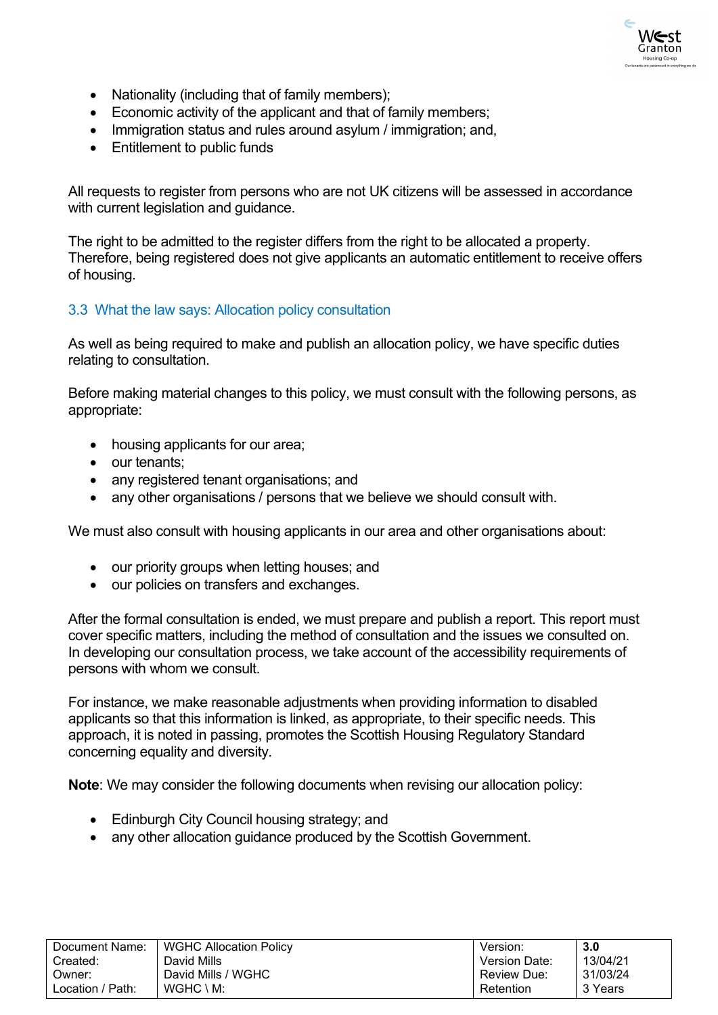

- Nationality (including that of family members);
- Economic activity of the applicant and that of family members;
- Immigration status and rules around asylum / immigration; and,
- Entitlement to public funds

All requests to register from persons who are not UK citizens will be assessed in accordance with current legislation and guidance.

The right to be admitted to the register differs from the right to be allocated a property. Therefore, being registered does not give applicants an automatic entitlement to receive offers of housing.

### <span id="page-6-0"></span>3.3 What the law says: Allocation policy consultation

As well as being required to make and publish an allocation policy, we have specific duties relating to consultation.

Before making material changes to this policy, we must consult with the following persons, as appropriate:

- housing applicants for our area;
- our tenants;
- any registered tenant organisations; and
- any other organisations / persons that we believe we should consult with.

We must also consult with housing applicants in our area and other organisations about:

- our priority groups when letting houses; and
- our policies on transfers and exchanges.

After the formal consultation is ended, we must prepare and publish a report. This report must cover specific matters, including the method of consultation and the issues we consulted on. In developing our consultation process, we take account of the accessibility requirements of persons with whom we consult.

For instance, we make reasonable adjustments when providing information to disabled applicants so that this information is linked, as appropriate, to their specific needs. This approach, it is noted in passing, promotes the Scottish Housing Regulatory Standard concerning equality and diversity.

**Note**: We may consider the following documents when revising our allocation policy:

- Edinburgh City Council housing strategy; and
- any other allocation guidance produced by the Scottish Government.

| Document Name:   | WGHC Allocation Policy | Version:             | 3.0      |
|------------------|------------------------|----------------------|----------|
| Created:         | David Mills            | <b>Version Date:</b> | 13/04/21 |
| Owner:           | David Mills / WGHC     | Review Due:          | 31/03/24 |
| Location / Path: | $WGHC \setminus M$ :   | Retention            | 3 Years  |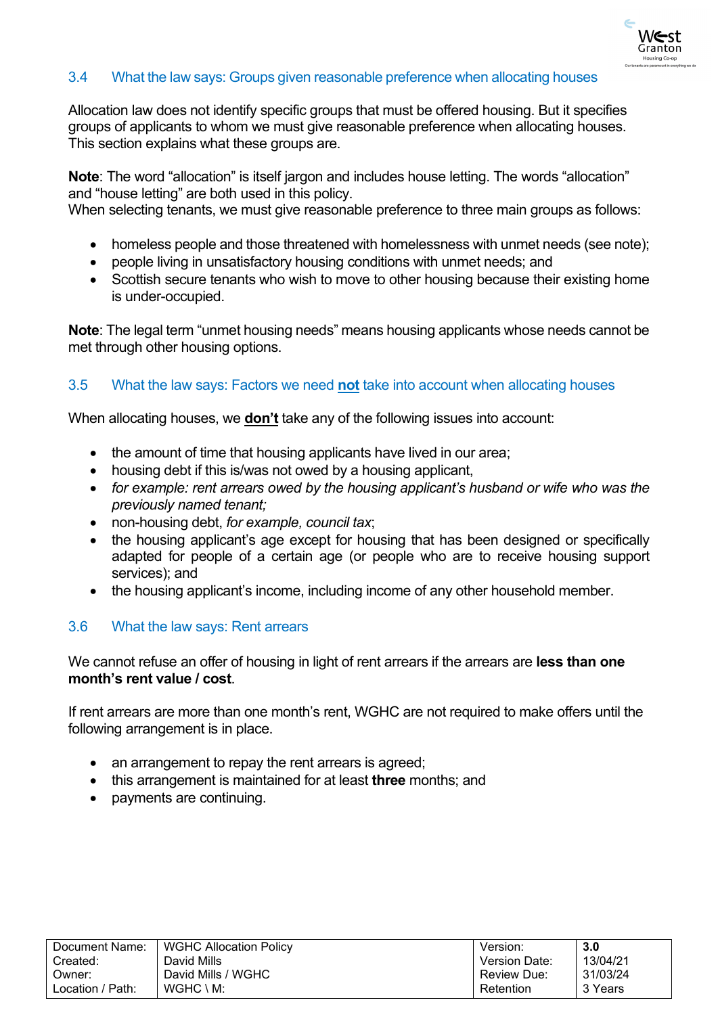

### <span id="page-7-0"></span>3.4 What the law says: Groups given reasonable preference when allocating houses

Allocation law does not identify specific groups that must be offered housing. But it specifies groups of applicants to whom we must give reasonable preference when allocating houses. This section explains what these groups are.

**Note**: The word "allocation" is itself jargon and includes house letting. The words "allocation" and "house letting" are both used in this policy.

When selecting tenants, we must give reasonable preference to three main groups as follows:

- homeless people and those threatened with homelessness with unmet needs (see note);
- people living in unsatisfactory housing conditions with unmet needs; and
- Scottish secure tenants who wish to move to other housing because their existing home is under-occupied.

**Note**: The legal term "unmet housing needs" means housing applicants whose needs cannot be met through other housing options.

### <span id="page-7-1"></span>3.5 What the law says: Factors we need **not** take into account when allocating houses

When allocating houses, we **don't** take any of the following issues into account:

- the amount of time that housing applicants have lived in our area;
- housing debt if this is/was not owed by a housing applicant,
- *for example: rent arrears owed by the housing applicant's husband or wife who was the previously named tenant;*
- non-housing debt, *for example, council tax*;
- the housing applicant's age except for housing that has been designed or specifically adapted for people of a certain age (or people who are to receive housing support services); and
- the housing applicant's income, including income of any other household member.

### <span id="page-7-2"></span>3.6 What the law says: Rent arrears

We cannot refuse an offer of housing in light of rent arrears if the arrears are **less than one month's rent value / cost**.

If rent arrears are more than one month's rent, WGHC are not required to make offers until the following arrangement is in place.

- an arrangement to repay the rent arrears is agreed;
- this arrangement is maintained for at least **three** months; and
- payments are continuing.

| Document Name:   | <b>WGHC Allocation Policy</b> | Version:      | 3.0      |
|------------------|-------------------------------|---------------|----------|
| Created:         | David Mills                   | Version Date: | 13/04/21 |
| Owner:           | David Mills / WGHC            | Review Due:   | 31/03/24 |
| Location / Path: | $WGHC \setminus M$ :          | Retention     | 3 Years  |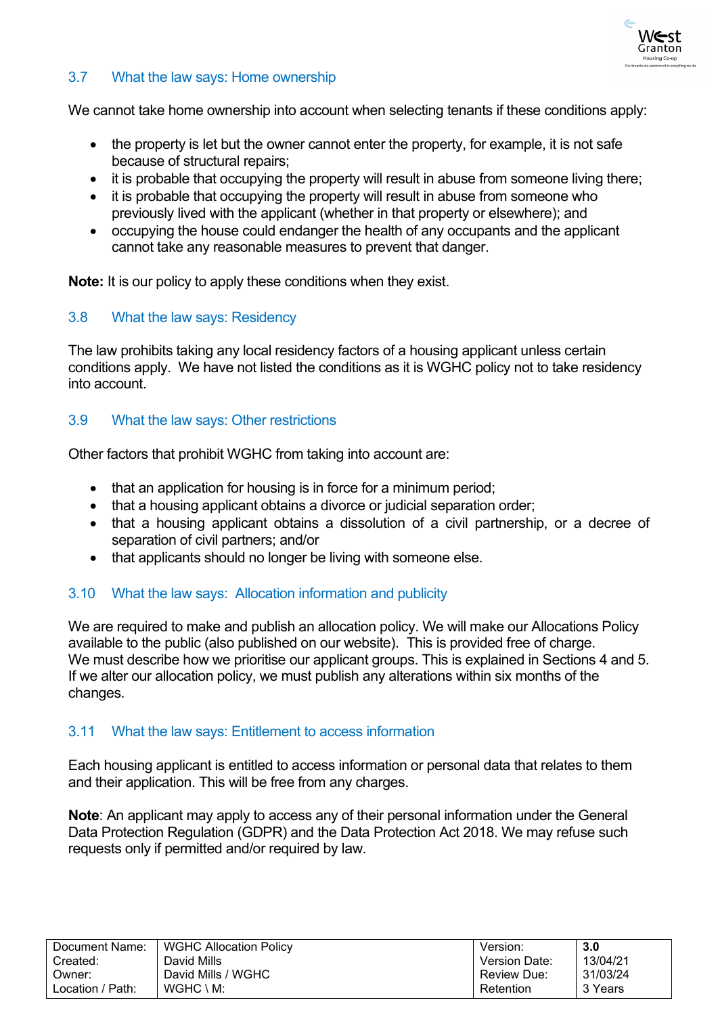

# <span id="page-8-0"></span>3.7 What the law says: Home ownership

We cannot take home ownership into account when selecting tenants if these conditions apply:

- the property is let but the owner cannot enter the property, for example, it is not safe because of structural repairs;
- it is probable that occupying the property will result in abuse from someone living there:
- it is probable that occupying the property will result in abuse from someone who previously lived with the applicant (whether in that property or elsewhere); and
- occupying the house could endanger the health of any occupants and the applicant cannot take any reasonable measures to prevent that danger.

**Note:** It is our policy to apply these conditions when they exist.

### <span id="page-8-1"></span>3.8 What the law says: Residency

The law prohibits taking any local residency factors of a housing applicant unless certain conditions apply. We have not listed the conditions as it is WGHC policy not to take residency into account.

### <span id="page-8-2"></span>3.9 What the law says: Other restrictions

Other factors that prohibit WGHC from taking into account are:

- that an application for housing is in force for a minimum period;
- that a housing applicant obtains a divorce or judicial separation order;
- that a housing applicant obtains a dissolution of a civil partnership, or a decree of separation of civil partners; and/or
- that applicants should no longer be living with someone else.

# <span id="page-8-3"></span>3.10 What the law says: Allocation information and publicity

We are required to make and publish an allocation policy. We will make our Allocations Policy available to the public (also published on our website). This is provided free of charge. We must describe how we prioritise our applicant groups. This is explained in Sections 4 and 5. If we alter our allocation policy, we must publish any alterations within six months of the changes.

### <span id="page-8-4"></span>3.11 What the law says: Entitlement to access information

Each housing applicant is entitled to access information or personal data that relates to them and their application. This will be free from any charges.

**Note**: An applicant may apply to access any of their personal information under the General Data Protection Regulation (GDPR) and the Data Protection Act 2018. We may refuse such requests only if permitted and/or required by law.

| Document Name:   | <b>WGHC Allocation Policy</b> | Version:      | 3.0      |
|------------------|-------------------------------|---------------|----------|
| Created:         | David Mills                   | Version Date: | 13/04/21 |
| Owner:           | David Mills / WGHC            | Review Due:   | 31/03/24 |
| Location / Path: | $WGHC \setminus M$ :          | Retention     | 3 Years  |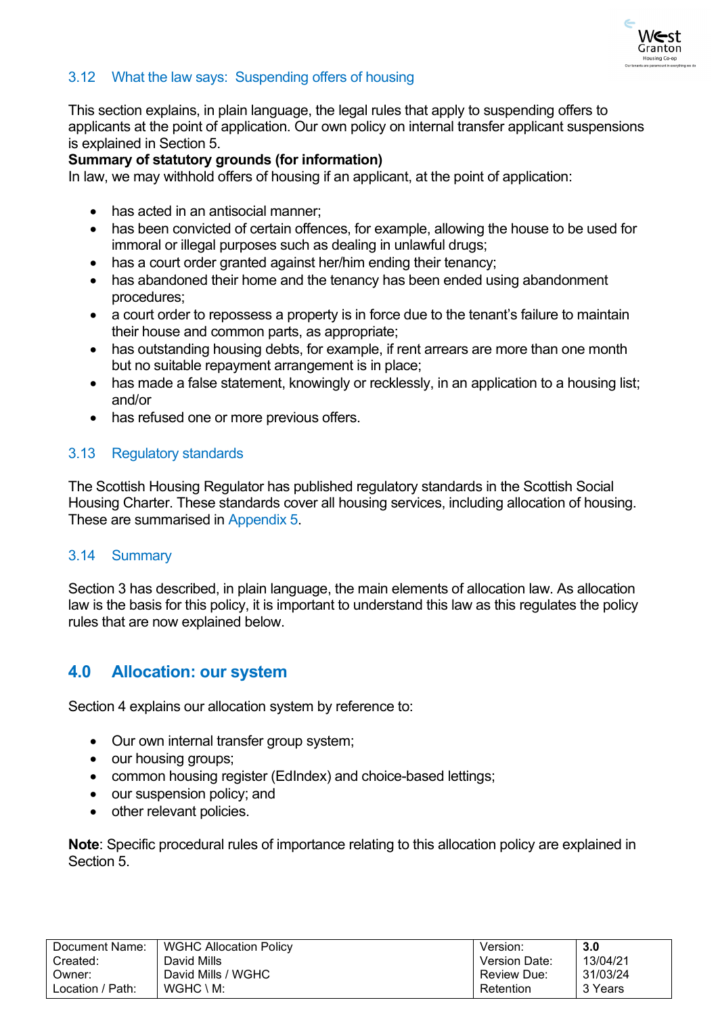

# <span id="page-9-0"></span>3.12 What the law says: Suspending offers of housing

This section explains, in plain language, the legal rules that apply to suspending offers to applicants at the point of application. Our own policy on internal transfer applicant suspensions is explained in Section 5.

### **Summary of statutory grounds (for information)**

In law, we may withhold offers of housing if an applicant, at the point of application:

- has acted in an antisocial manner;
- has been convicted of certain offences, for example, allowing the house to be used for immoral or illegal purposes such as dealing in unlawful drugs;
- has a court order granted against her/him ending their tenancy:
- has abandoned their home and the tenancy has been ended using abandonment procedures;
- a court order to repossess a property is in force due to the tenant's failure to maintain their house and common parts, as appropriate;
- has outstanding housing debts, for example, if rent arrears are more than one month but no suitable repayment arrangement is in place;
- has made a false statement, knowingly or recklessly, in an application to a housing list: and/or
- has refused one or more previous offers.

# <span id="page-9-1"></span>3.13 Regulatory standards

The Scottish Housing Regulator has published regulatory standards in the Scottish Social Housing Charter. These standards cover all housing services, including allocation of housing. These are summarised in Appendix 5.

### <span id="page-9-2"></span>3.14 Summary

Section 3 has described, in plain language, the main elements of allocation law. As allocation law is the basis for this policy, it is important to understand this law as this regulates the policy rules that are now explained below.

# <span id="page-9-3"></span>**4.0 Allocation: our system**

Section 4 explains our allocation system by reference to:

- Our own internal transfer group system;
- our housing groups;
- common housing register (EdIndex) and choice-based lettings:
- our suspension policy; and
- other relevant policies.

**Note**: Specific procedural rules of importance relating to this allocation policy are explained in Section 5.

| Document Name:   | <b>WGHC Allocation Policy</b> | Version:             | 3.0      |
|------------------|-------------------------------|----------------------|----------|
| Created:         | David Mills                   | <b>Version Date:</b> | 13/04/21 |
| Owner:           | David Mills / WGHC            | <b>Review Due:</b>   | 31/03/24 |
| Location / Path: | $WGHC \setminus M$ :          | Retention            | 3 Years  |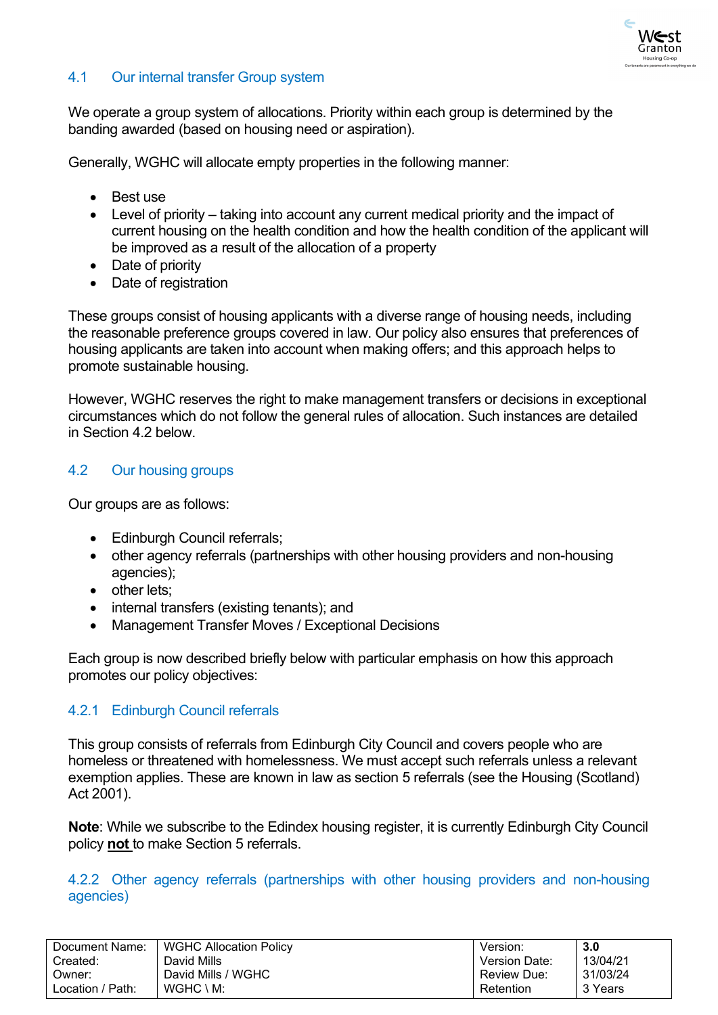

# <span id="page-10-0"></span>4.1 Our internal transfer Group system

We operate a group system of allocations. Priority within each group is determined by the banding awarded (based on housing need or aspiration).

Generally, WGHC will allocate empty properties in the following manner:

- Best use
- Level of priority taking into account any current medical priority and the impact of current housing on the health condition and how the health condition of the applicant will be improved as a result of the allocation of a property
- Date of priority
- Date of registration

These groups consist of housing applicants with a diverse range of housing needs, including the reasonable preference groups covered in law. Our policy also ensures that preferences of housing applicants are taken into account when making offers; and this approach helps to promote sustainable housing.

However, WGHC reserves the right to make management transfers or decisions in exceptional circumstances which do not follow the general rules of allocation. Such instances are detailed in Section 4.2 below

# <span id="page-10-1"></span>4.2 Our housing groups

Our groups are as follows:

- Edinburgh Council referrals;
- other agency referrals (partnerships with other housing providers and non-housing agencies);
- other lets:
- internal transfers (existing tenants); and
- Management Transfer Moves / Exceptional Decisions

Each group is now described briefly below with particular emphasis on how this approach promotes our policy objectives:

# <span id="page-10-2"></span>4.2.1 Edinburgh Council referrals

This group consists of referrals from Edinburgh City Council and covers people who are homeless or threatened with homelessness. We must accept such referrals unless a relevant exemption applies. These are known in law as section 5 referrals (see the Housing (Scotland) Act 2001).

**Note**: While we subscribe to the Edindex housing register, it is currently Edinburgh City Council policy **not** to make Section 5 referrals.

### <span id="page-10-3"></span>4.2.2 Other agency referrals (partnerships with other housing providers and non-housing agencies)

| Document Name:   | <b>WGHC Allocation Policy</b> | Version:             | 3.0      |
|------------------|-------------------------------|----------------------|----------|
| Created:         | David Mills                   | <b>Version Date:</b> | 13/04/21 |
| Owner:           | David Mills / WGHC            | <b>Review Due:</b>   | 31/03/24 |
| Location / Path: | $WGHC \setminus M$ :          | Retention            | 3 Years  |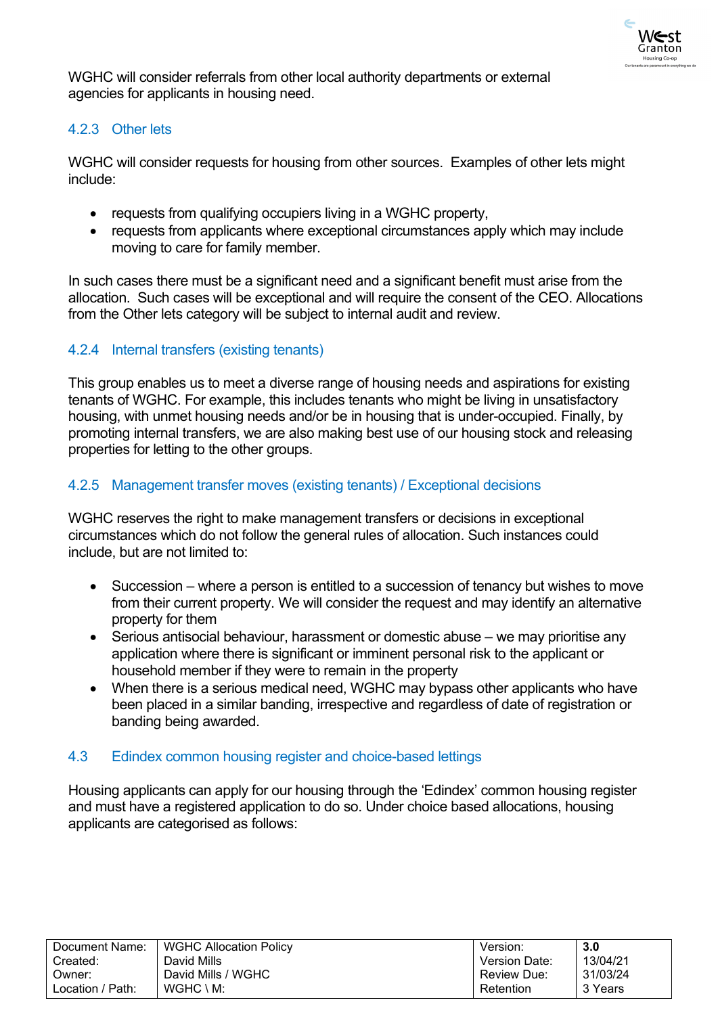

WGHC will consider referrals from other local authority departments or external agencies for applicants in housing need.

# <span id="page-11-0"></span>4.2.3 Other lets

WGHC will consider requests for housing from other sources. Examples of other lets might include:

- requests from qualifying occupiers living in a WGHC property,
- requests from applicants where exceptional circumstances apply which may include moving to care for family member.

In such cases there must be a significant need and a significant benefit must arise from the allocation. Such cases will be exceptional and will require the consent of the CEO. Allocations from the Other lets category will be subject to internal audit and review.

# <span id="page-11-1"></span>4.2.4 Internal transfers (existing tenants)

This group enables us to meet a diverse range of housing needs and aspirations for existing tenants of WGHC. For example, this includes tenants who might be living in unsatisfactory housing, with unmet housing needs and/or be in housing that is under-occupied. Finally, by promoting internal transfers, we are also making best use of our housing stock and releasing properties for letting to the other groups.

### <span id="page-11-2"></span>4.2.5 Management transfer moves (existing tenants) / Exceptional decisions

WGHC reserves the right to make management transfers or decisions in exceptional circumstances which do not follow the general rules of allocation. Such instances could include, but are not limited to:

- Succession where a person is entitled to a succession of tenancy but wishes to move from their current property. We will consider the request and may identify an alternative property for them
- Serious antisocial behaviour, harassment or domestic abuse we may prioritise any application where there is significant or imminent personal risk to the applicant or household member if they were to remain in the property
- When there is a serious medical need, WGHC may bypass other applicants who have been placed in a similar banding, irrespective and regardless of date of registration or banding being awarded.

# <span id="page-11-3"></span>4.3 Edindex common housing register and choice-based lettings

Housing applicants can apply for our housing through the 'Edindex' common housing register and must have a registered application to do so. Under choice based allocations, housing applicants are categorised as follows:

| Document Name:   | <b>WGHC Allocation Policy</b> | Version:             | 3.0      |
|------------------|-------------------------------|----------------------|----------|
| Created:         | David Mills                   | <b>Version Date:</b> | 13/04/21 |
| Owner:           | David Mills / WGHC            | <b>Review Due:</b>   | 31/03/24 |
| Location / Path: | $WGHC \setminus M$ :          | Retention            | 3 Years  |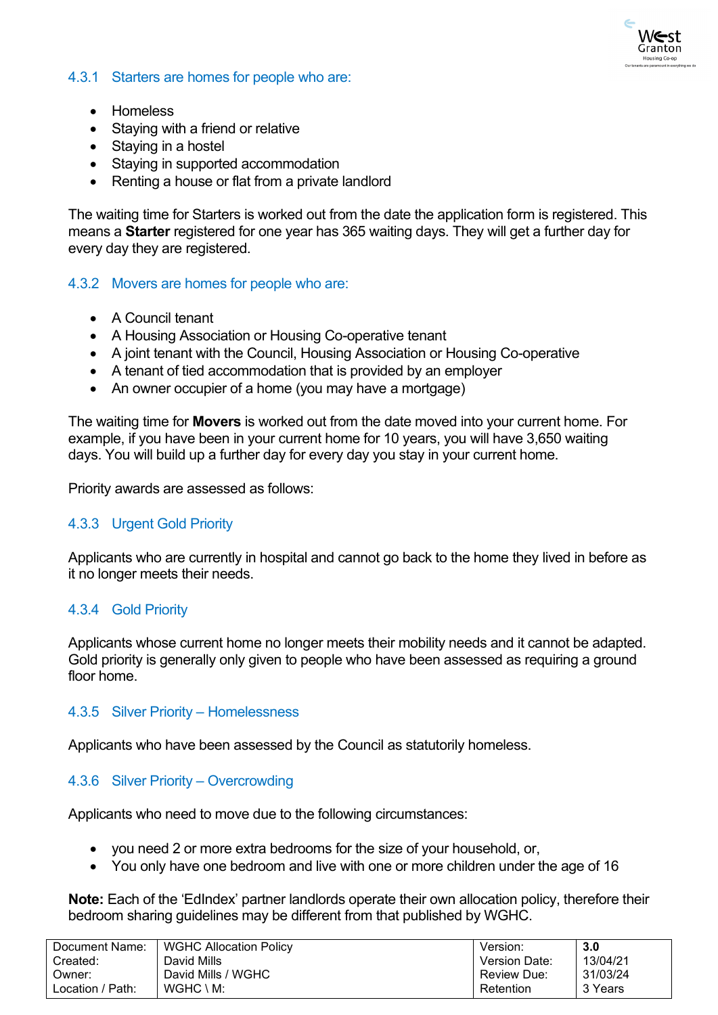

### <span id="page-12-0"></span>4.3.1 Starters are homes for people who are:

- Homeless
- Staying with a friend or relative
- Staying in a hostel
- Staying in supported accommodation
- Renting a house or flat from a private landlord

The waiting time for Starters is worked out from the date the application form is registered. This means a **Starter** registered for one year has 365 waiting days. They will get a further day for every day they are registered.

### <span id="page-12-1"></span>4.3.2 Movers are homes for people who are:

- A Council tenant
- A Housing Association or Housing Co-operative tenant
- A joint tenant with the Council, Housing Association or Housing Co-operative
- A tenant of tied accommodation that is provided by an employer
- An owner occupier of a home (you may have a mortgage)

The waiting time for **Movers** is worked out from the date moved into your current home. For example, if you have been in your current home for 10 years, you will have 3,650 waiting days. You will build up a further day for every day you stay in your current home.

Priority awards are assessed as follows:

### <span id="page-12-2"></span>4.3.3 Urgent Gold Priority

Applicants who are currently in hospital and cannot go back to the home they lived in before as it no longer meets their needs.

### <span id="page-12-3"></span>4.3.4 Gold Priority

Applicants whose current home no longer meets their mobility needs and it cannot be adapted. Gold priority is generally only given to people who have been assessed as requiring a ground floor home.

### <span id="page-12-4"></span>4.3.5 Silver Priority – Homelessness

Applicants who have been assessed by the Council as statutorily homeless.

### <span id="page-12-5"></span>4.3.6 Silver Priority – Overcrowding

Applicants who need to move due to the following circumstances:

- you need 2 or more extra bedrooms for the size of your household, or,
- You only have one bedroom and live with one or more children under the age of 16

**Note:** Each of the 'EdIndex' partner landlords operate their own allocation policy, therefore their bedroom sharing guidelines may be different from that published by WGHC.

| Document Name:   | <b>WGHC Allocation Policy</b> | Version:           | 3.0      |
|------------------|-------------------------------|--------------------|----------|
| Created:         | David Mills                   | Version Date:      | 13/04/21 |
| Owner:           | David Mills / WGHC            | <b>Review Due:</b> | 31/03/24 |
| Location / Path: | $WGHC \setminus M$ :          | Retention          | 3 Years  |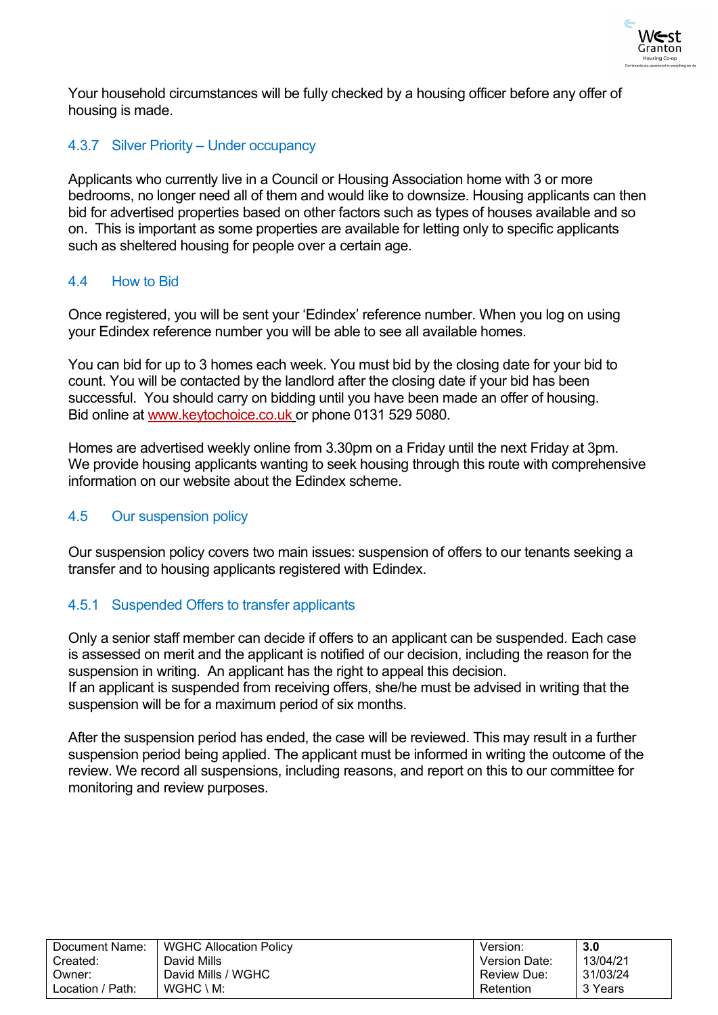

Your household circumstances will be fully checked by a housing officer before any offer of housing is made.

### <span id="page-13-0"></span>4.3.7 Silver Priority – Under occupancy

Applicants who currently live in a Council or Housing Association home with 3 or more bedrooms, no longer need all of them and would like to downsize. Housing applicants can then bid for advertised properties based on other factors such as types of houses available and so on. This is important as some properties are available for letting only to specific applicants such as sheltered housing for people over a certain age.

### <span id="page-13-1"></span>4.4 How to Bid

Once registered, you will be sent your 'Edindex' reference number. When you log on using your Edindex reference number you will be able to see all available homes.

You can bid for up to 3 homes each week. You must bid by the closing date for your bid to count. You will be contacted by the landlord after the closing date if your bid has been successful. You should carry on bidding until you have been made an offer of housing. Bid online at [www.keytochoice.co.uk](https://keytochoice.edinburgh.gov.uk/pls/hrblive_selfserv/f?p=12009:200) or phone 0131 529 5080.

Homes are advertised weekly online from 3.30pm on a Friday until the next Friday at 3pm. We provide housing applicants wanting to seek housing through this route with comprehensive information on our website about the Edindex scheme.

# <span id="page-13-2"></span>4.5 Our suspension policy

Our suspension policy covers two main issues: suspension of offers to our tenants seeking a transfer and to housing applicants registered with Edindex.

# <span id="page-13-3"></span>4.5.1 Suspended Offers to transfer applicants

Only a senior staff member can decide if offers to an applicant can be suspended. Each case is assessed on merit and the applicant is notified of our decision, including the reason for the suspension in writing. An applicant has the right to appeal this decision.

If an applicant is suspended from receiving offers, she/he must be advised in writing that the suspension will be for a maximum period of six months.

After the suspension period has ended, the case will be reviewed. This may result in a further suspension period being applied. The applicant must be informed in writing the outcome of the review. We record all suspensions, including reasons, and report on this to our committee for monitoring and review purposes.

| Document Name:   | <b>WGHC Allocation Policy</b> | Version:             | 3.0      |
|------------------|-------------------------------|----------------------|----------|
| Created:         | David Mills                   | <b>Version Date:</b> | 13/04/21 |
| Owner:           | David Mills / WGHC            | <b>Review Due:</b>   | 31/03/24 |
| Location / Path: | $WGHC \setminus M$ :          | Retention            | 3 Years  |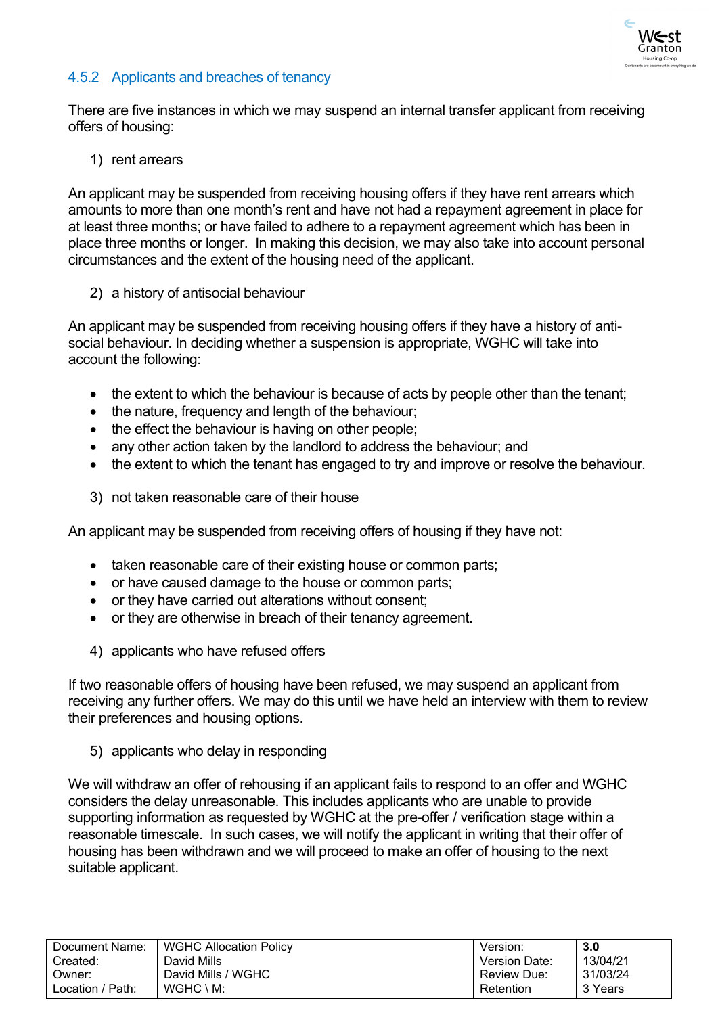

# <span id="page-14-0"></span>4.5.2 Applicants and breaches of tenancy

There are five instances in which we may suspend an internal transfer applicant from receiving offers of housing:

1) rent arrears

An applicant may be suspended from receiving housing offers if they have rent arrears which amounts to more than one month's rent and have not had a repayment agreement in place for at least three months; or have failed to adhere to a repayment agreement which has been in place three months or longer. In making this decision, we may also take into account personal circumstances and the extent of the housing need of the applicant.

2) a history of antisocial behaviour

An applicant may be suspended from receiving housing offers if they have a history of antisocial behaviour. In deciding whether a suspension is appropriate, WGHC will take into account the following:

- the extent to which the behaviour is because of acts by people other than the tenant;
- the nature, frequency and length of the behaviour;
- the effect the behaviour is having on other people:
- any other action taken by the landlord to address the behaviour; and
- the extent to which the tenant has engaged to try and improve or resolve the behaviour.
- 3) not taken reasonable care of their house

An applicant may be suspended from receiving offers of housing if they have not:

- taken reasonable care of their existing house or common parts;
- or have caused damage to the house or common parts;
- or they have carried out alterations without consent;
- or they are otherwise in breach of their tenancy agreement.
- 4) applicants who have refused offers

If two reasonable offers of housing have been refused, we may suspend an applicant from receiving any further offers. We may do this until we have held an interview with them to review their preferences and housing options.

5) applicants who delay in responding

We will withdraw an offer of rehousing if an applicant fails to respond to an offer and WGHC considers the delay unreasonable. This includes applicants who are unable to provide supporting information as requested by WGHC at the pre-offer / verification stage within a reasonable timescale. In such cases, we will notify the applicant in writing that their offer of housing has been withdrawn and we will proceed to make an offer of housing to the next suitable applicant.

| Document Name:   | <b>WGHC Allocation Policy</b> | Version:             | 3.0      |
|------------------|-------------------------------|----------------------|----------|
| Created:         | David Mills                   | <b>Version Date:</b> | 13/04/21 |
| Owner:           | David Mills / WGHC            | Review Due:          | 31/03/24 |
| Location / Path: | $WGHC \setminus M$ :          | Retention            | 3 Years  |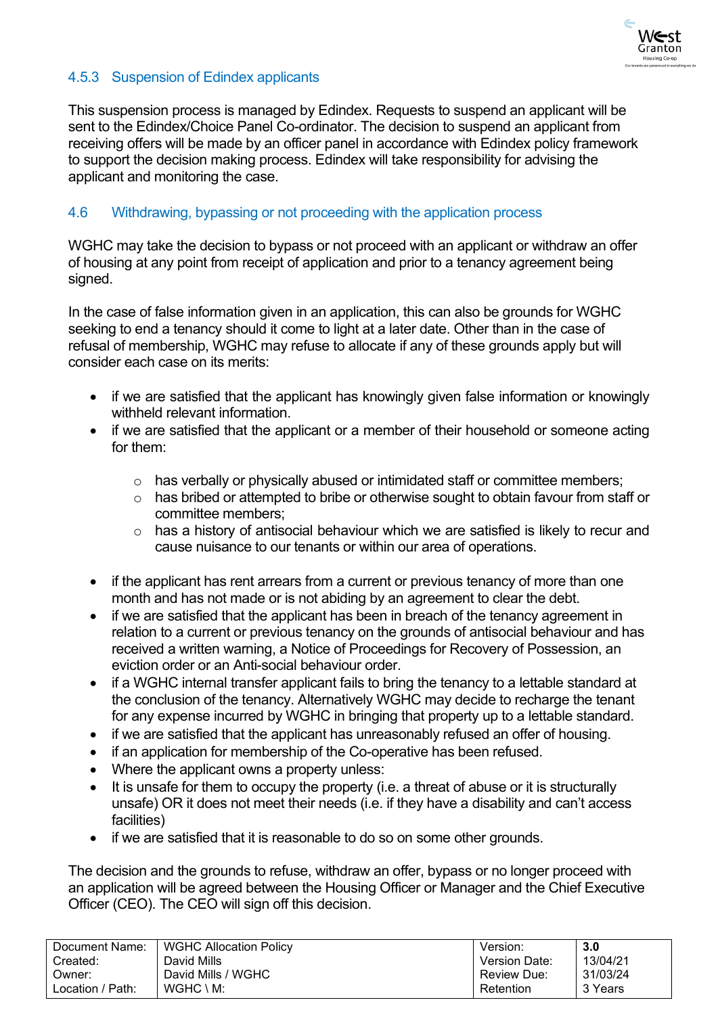

# <span id="page-15-0"></span>4.5.3 Suspension of Edindex applicants

This suspension process is managed by Edindex. Requests to suspend an applicant will be sent to the Edindex/Choice Panel Co-ordinator. The decision to suspend an applicant from receiving offers will be made by an officer panel in accordance with Edindex policy framework to support the decision making process. Edindex will take responsibility for advising the applicant and monitoring the case.

### <span id="page-15-1"></span>4.6 Withdrawing, bypassing or not proceeding with the application process

WGHC may take the decision to bypass or not proceed with an applicant or withdraw an offer of housing at any point from receipt of application and prior to a tenancy agreement being signed.

In the case of false information given in an application, this can also be grounds for WGHC seeking to end a tenancy should it come to light at a later date. Other than in the case of refusal of membership, WGHC may refuse to allocate if any of these grounds apply but will consider each case on its merits:

- if we are satisfied that the applicant has knowingly given false information or knowingly withheld relevant information.
- if we are satisfied that the applicant or a member of their household or someone acting for them:
	- o has verbally or physically abused or intimidated staff or committee members;
	- o has bribed or attempted to bribe or otherwise sought to obtain favour from staff or committee members;
	- o has a history of antisocial behaviour which we are satisfied is likely to recur and cause nuisance to our tenants or within our area of operations.
- if the applicant has rent arrears from a current or previous tenancy of more than one month and has not made or is not abiding by an agreement to clear the debt.
- if we are satisfied that the applicant has been in breach of the tenancy agreement in relation to a current or previous tenancy on the grounds of antisocial behaviour and has received a written warning, a Notice of Proceedings for Recovery of Possession, an eviction order or an Anti-social behaviour order.
- if a WGHC internal transfer applicant fails to bring the tenancy to a lettable standard at the conclusion of the tenancy. Alternatively WGHC may decide to recharge the tenant for any expense incurred by WGHC in bringing that property up to a lettable standard.
- if we are satisfied that the applicant has unreasonably refused an offer of housing.
- if an application for membership of the Co-operative has been refused.
- Where the applicant owns a property unless:
- It is unsafe for them to occupy the property (i.e. a threat of abuse or it is structurally unsafe) OR it does not meet their needs (i.e. if they have a disability and can't access facilities)
- if we are satisfied that it is reasonable to do so on some other grounds.

The decision and the grounds to refuse, withdraw an offer, bypass or no longer proceed with an application will be agreed between the Housing Officer or Manager and the Chief Executive Officer (CEO). The CEO will sign off this decision.

| Document Name:   | <b>WGHC Allocation Policy</b> | Version.           | 3.0      |
|------------------|-------------------------------|--------------------|----------|
| Created:         | David Mills                   | Version Date:      | 13/04/21 |
| Owner:           | David Mills / WGHC            | <b>Review Due:</b> | 31/03/24 |
| Location / Path: | $WGHC \setminus M$ :          | Retention          | 3 Years  |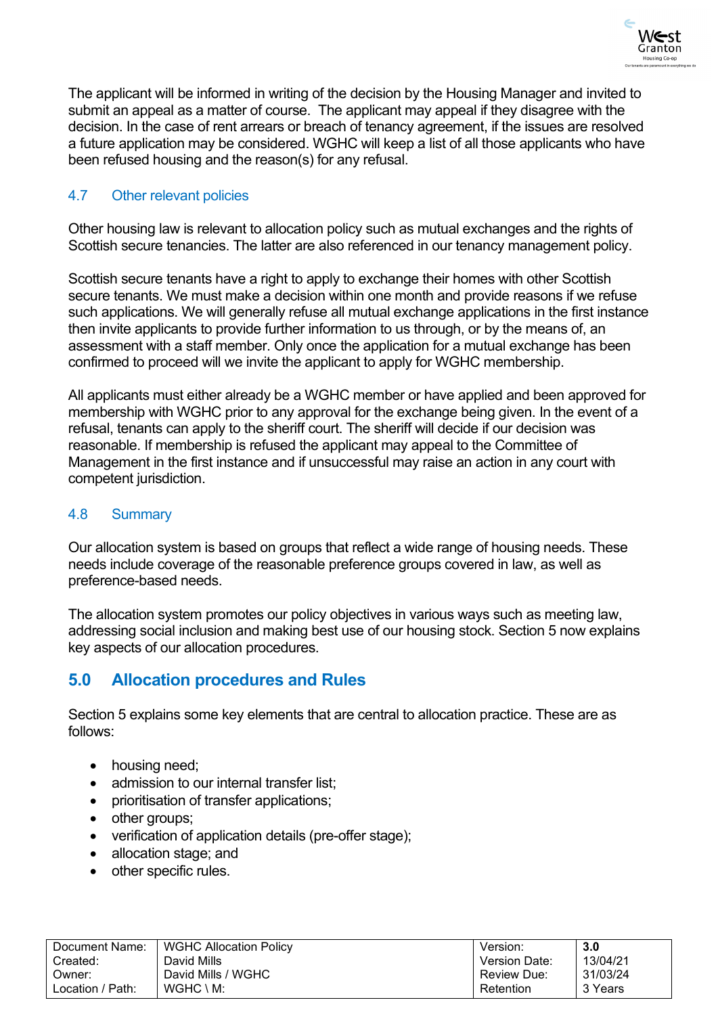

The applicant will be informed in writing of the decision by the Housing Manager and invited to submit an appeal as a matter of course. The applicant may appeal if they disagree with the decision. In the case of rent arrears or breach of tenancy agreement, if the issues are resolved a future application may be considered. WGHC will keep a list of all those applicants who have been refused housing and the reason(s) for any refusal.

# <span id="page-16-0"></span>4.7 Other relevant policies

Other housing law is relevant to allocation policy such as mutual exchanges and the rights of Scottish secure tenancies. The latter are also referenced in our tenancy management policy.

Scottish secure tenants have a right to apply to exchange their homes with other Scottish secure tenants. We must make a decision within one month and provide reasons if we refuse such applications. We will generally refuse all mutual exchange applications in the first instance then invite applicants to provide further information to us through, or by the means of, an assessment with a staff member. Only once the application for a mutual exchange has been confirmed to proceed will we invite the applicant to apply for WGHC membership.

All applicants must either already be a WGHC member or have applied and been approved for membership with WGHC prior to any approval for the exchange being given. In the event of a refusal, tenants can apply to the sheriff court. The sheriff will decide if our decision was reasonable. If membership is refused the applicant may appeal to the Committee of Management in the first instance and if unsuccessful may raise an action in any court with competent jurisdiction.

### <span id="page-16-1"></span>4.8 Summary

Our allocation system is based on groups that reflect a wide range of housing needs. These needs include coverage of the reasonable preference groups covered in law, as well as preference-based needs.

The allocation system promotes our policy objectives in various ways such as meeting law, addressing social inclusion and making best use of our housing stock. Section 5 now explains key aspects of our allocation procedures.

# <span id="page-16-2"></span>**5.0 Allocation procedures and Rules**

Section 5 explains some key elements that are central to allocation practice. These are as follows:

- housing need:
- admission to our internal transfer list;
- prioritisation of transfer applications;
- other groups;
- verification of application details (pre-offer stage);
- allocation stage; and
- other specific rules.

| Document Name:   | <b>WGHC Allocation Policy</b> | Version:             | 3.0      |
|------------------|-------------------------------|----------------------|----------|
| Created:         | David Mills                   | <b>Version Date:</b> | 13/04/21 |
| Owner:           | David Mills / WGHC            | Review Due:          | 31/03/24 |
| Location / Path: | $WGHC \setminus M$ :          | Retention            | 3 Years  |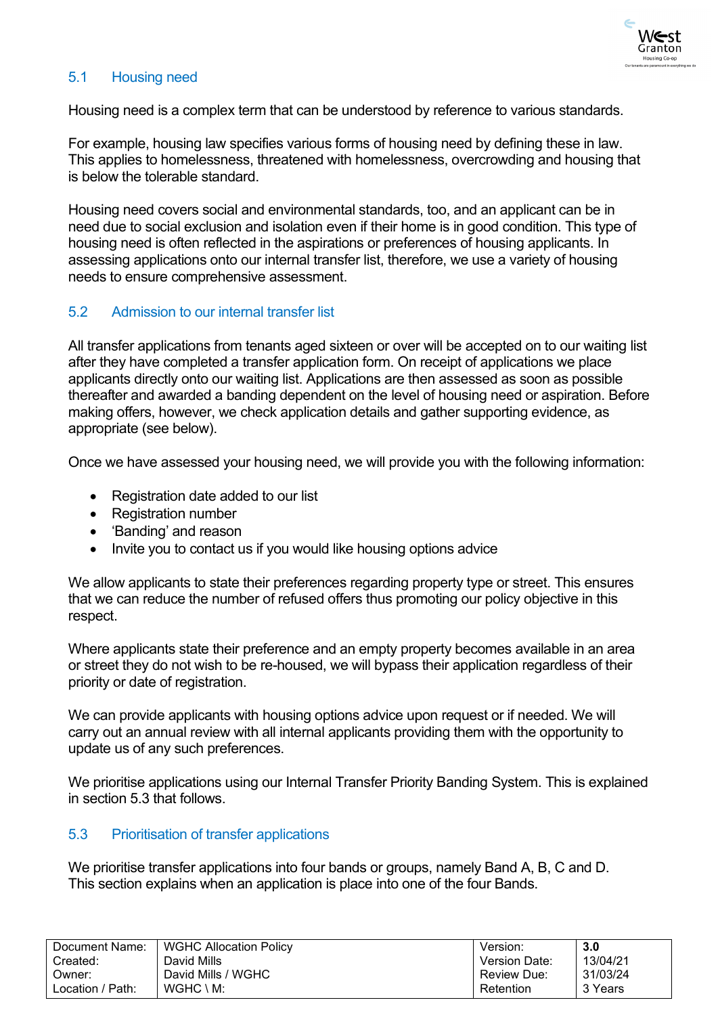

# <span id="page-17-0"></span>5.1 Housing need

Housing need is a complex term that can be understood by reference to various standards.

For example, housing law specifies various forms of housing need by defining these in law. This applies to homelessness, threatened with homelessness, overcrowding and housing that is below the tolerable standard.

Housing need covers social and environmental standards, too, and an applicant can be in need due to social exclusion and isolation even if their home is in good condition. This type of housing need is often reflected in the aspirations or preferences of housing applicants. In assessing applications onto our internal transfer list, therefore, we use a variety of housing needs to ensure comprehensive assessment.

### <span id="page-17-1"></span>5.2 Admission to our internal transfer list

All transfer applications from tenants aged sixteen or over will be accepted on to our waiting list after they have completed a transfer application form. On receipt of applications we place applicants directly onto our waiting list. Applications are then assessed as soon as possible thereafter and awarded a banding dependent on the level of housing need or aspiration. Before making offers, however, we check application details and gather supporting evidence, as appropriate (see below).

Once we have assessed your housing need, we will provide you with the following information:

- Registration date added to our list
- Registration number
- 'Banding' and reason
- Invite you to contact us if you would like housing options advice

We allow applicants to state their preferences regarding property type or street. This ensures that we can reduce the number of refused offers thus promoting our policy objective in this respect.

Where applicants state their preference and an empty property becomes available in an area or street they do not wish to be re-housed, we will bypass their application regardless of their priority or date of registration.

We can provide applicants with housing options advice upon request or if needed. We will carry out an annual review with all internal applicants providing them with the opportunity to update us of any such preferences.

We prioritise applications using our Internal Transfer Priority Banding System. This is explained in section 5.3 that follows.

### <span id="page-17-2"></span>5.3 Prioritisation of transfer applications

We prioritise transfer applications into four bands or groups, namely Band A, B, C and D. This section explains when an application is place into one of the four Bands.

| Document Name:   | <b>WGHC Allocation Policy</b> | Version.             | 3.0      |
|------------------|-------------------------------|----------------------|----------|
| Created:         | David Mills                   | <b>Version Date:</b> | 13/04/21 |
| Owner:           | David Mills / WGHC            | <b>Review Due:</b>   | 31/03/24 |
| Location / Path: | $WGHC \setminus M$ :          | Retention            | 3 Years  |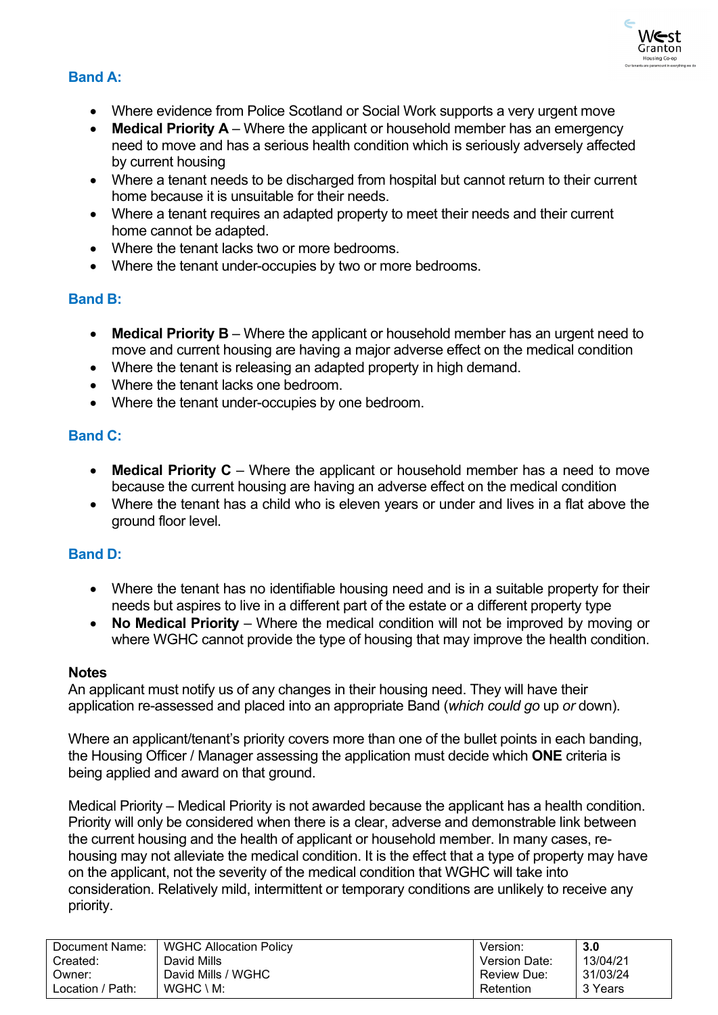

# **Band A:**

- Where evidence from Police Scotland or Social Work supports a very urgent move
- **Medical Priority A** Where the applicant or household member has an emergency need to move and has a serious health condition which is seriously adversely affected by current housing
- Where a tenant needs to be discharged from hospital but cannot return to their current home because it is unsuitable for their needs.
- Where a tenant requires an adapted property to meet their needs and their current home cannot be adapted.
- Where the tenant lacks two or more bedrooms
- Where the tenant under-occupies by two or more bedrooms.

# **Band B:**

- **Medical Priority B** Where the applicant or household member has an urgent need to move and current housing are having a major adverse effect on the medical condition
- Where the tenant is releasing an adapted property in high demand.
- Where the tenant lacks one bedroom.
- Where the tenant under-occupies by one bedroom.

# **Band C:**

- **Medical Priority C** Where the applicant or household member has a need to move because the current housing are having an adverse effect on the medical condition
- Where the tenant has a child who is eleven years or under and lives in a flat above the ground floor level.

# **Band D:**

- Where the tenant has no identifiable housing need and is in a suitable property for their needs but aspires to live in a different part of the estate or a different property type
- **No Medical Priority** Where the medical condition will not be improved by moving or where WGHC cannot provide the type of housing that may improve the health condition.

### **Notes**

An applicant must notify us of any changes in their housing need. They will have their application re-assessed and placed into an appropriate Band (*which could go* up *or* down).

Where an applicant/tenant's priority covers more than one of the bullet points in each banding, the Housing Officer / Manager assessing the application must decide which **ONE** criteria is being applied and award on that ground.

Medical Priority – Medical Priority is not awarded because the applicant has a health condition. Priority will only be considered when there is a clear, adverse and demonstrable link between the current housing and the health of applicant or household member. In many cases, rehousing may not alleviate the medical condition. It is the effect that a type of property may have on the applicant, not the severity of the medical condition that WGHC will take into consideration. Relatively mild, intermittent or temporary conditions are unlikely to receive any priority.

| Document Name:   | <b>WGHC Allocation Policy</b> | Version:           | 3.0      |
|------------------|-------------------------------|--------------------|----------|
| Created:         | David Mills                   | Version Date:      | 13/04/21 |
| Owner:           | David Mills / WGHC            | <b>Review Due:</b> | 31/03/24 |
| Location / Path: | $WGHC \setminus M$ :          | Retention          | 3 Years  |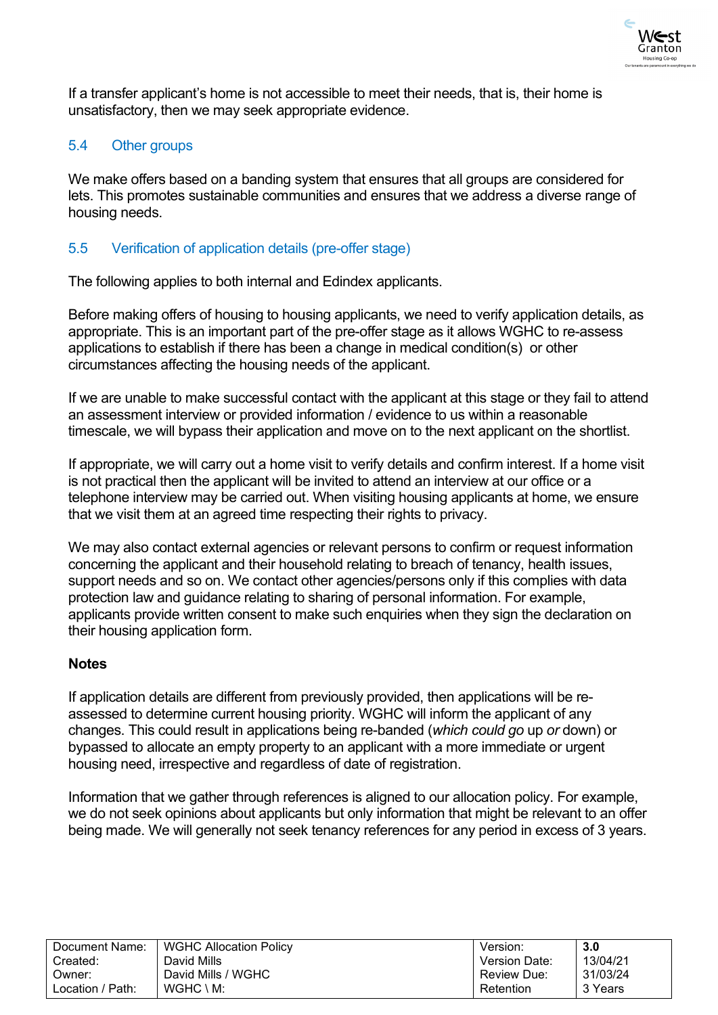

If a transfer applicant's home is not accessible to meet their needs, that is, their home is unsatisfactory, then we may seek appropriate evidence.

# <span id="page-19-0"></span>5.4 Other groups

We make offers based on a banding system that ensures that all groups are considered for lets. This promotes sustainable communities and ensures that we address a diverse range of housing needs.

# <span id="page-19-1"></span>5.5 Verification of application details (pre-offer stage)

The following applies to both internal and Edindex applicants.

Before making offers of housing to housing applicants, we need to verify application details, as appropriate. This is an important part of the pre-offer stage as it allows WGHC to re-assess applications to establish if there has been a change in medical condition(s) or other circumstances affecting the housing needs of the applicant.

If we are unable to make successful contact with the applicant at this stage or they fail to attend an assessment interview or provided information / evidence to us within a reasonable timescale, we will bypass their application and move on to the next applicant on the shortlist.

If appropriate, we will carry out a home visit to verify details and confirm interest. If a home visit is not practical then the applicant will be invited to attend an interview at our office or a telephone interview may be carried out. When visiting housing applicants at home, we ensure that we visit them at an agreed time respecting their rights to privacy.

We may also contact external agencies or relevant persons to confirm or request information concerning the applicant and their household relating to breach of tenancy, health issues, support needs and so on. We contact other agencies/persons only if this complies with data protection law and guidance relating to sharing of personal information. For example, applicants provide written consent to make such enquiries when they sign the declaration on their housing application form.

# **Notes**

If application details are different from previously provided, then applications will be reassessed to determine current housing priority. WGHC will inform the applicant of any changes. This could result in applications being re-banded (*which could go* up *or* down) or bypassed to allocate an empty property to an applicant with a more immediate or urgent housing need, irrespective and regardless of date of registration.

Information that we gather through references is aligned to our allocation policy. For example, we do not seek opinions about applicants but only information that might be relevant to an offer being made. We will generally not seek tenancy references for any period in excess of 3 years.

| Document Name:   | <b>WGHC Allocation Policy</b> | Version:             | 3.0      |
|------------------|-------------------------------|----------------------|----------|
| Created:         | David Mills                   | <b>Version Date:</b> | 13/04/21 |
| Owner:           | David Mills / WGHC            | <b>Review Due:</b>   | 31/03/24 |
| Location / Path: | $WGHC \setminus M$ :          | Retention            | 3 Years  |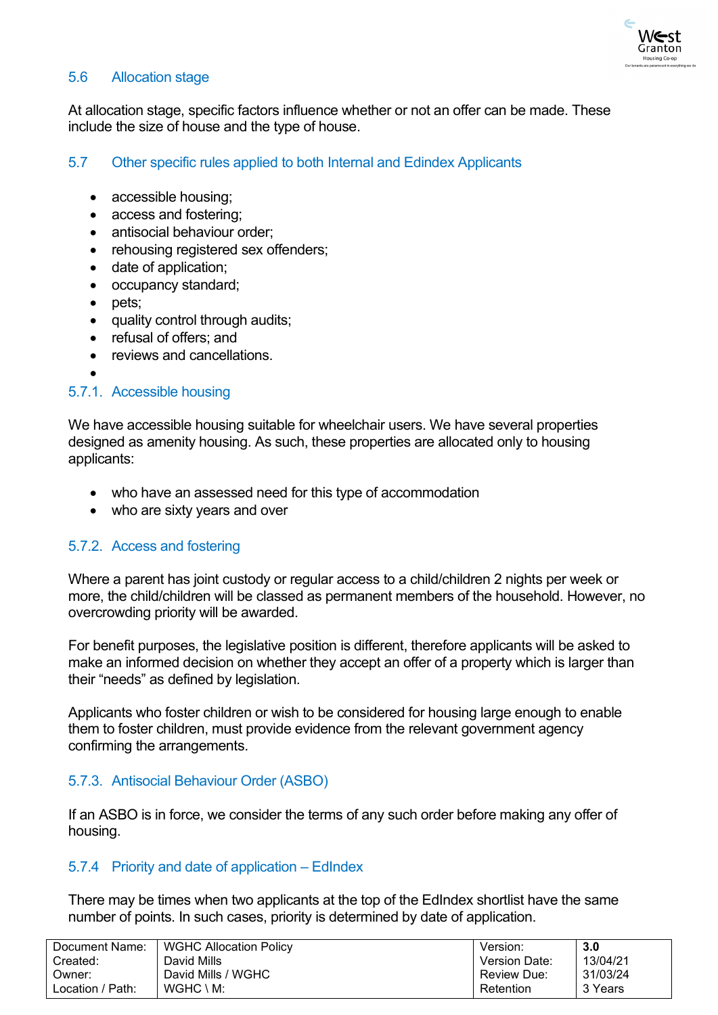

# <span id="page-20-0"></span>5.6 Allocation stage

At allocation stage, specific factors influence whether or not an offer can be made. These include the size of house and the type of house.

# <span id="page-20-1"></span>5.7 Other specific rules applied to both Internal and Edindex Applicants

- accessible housing;
- access and fostering;
- antisocial behaviour order:
- rehousing registered sex offenders;
- date of application;
- occupancy standard;
- pets;
- quality control through audits;
- refusal of offers: and
- reviews and cancellations.
- •

### <span id="page-20-2"></span>5.7.1. Accessible housing

We have accessible housing suitable for wheelchair users. We have several properties designed as amenity housing. As such, these properties are allocated only to housing applicants:

- who have an assessed need for this type of accommodation
- who are sixty years and over

### <span id="page-20-3"></span>5.7.2. Access and fostering

Where a parent has joint custody or regular access to a child/children 2 nights per week or more, the child/children will be classed as permanent members of the household. However, no overcrowding priority will be awarded.

For benefit purposes, the legislative position is different, therefore applicants will be asked to make an informed decision on whether they accept an offer of a property which is larger than their "needs" as defined by legislation.

Applicants who foster children or wish to be considered for housing large enough to enable them to foster children, must provide evidence from the relevant government agency confirming the arrangements.

# <span id="page-20-4"></span>5.7.3. Antisocial Behaviour Order (ASBO)

If an ASBO is in force, we consider the terms of any such order before making any offer of housing.

### <span id="page-20-5"></span>5.7.4 Priority and date of application – EdIndex

There may be times when two applicants at the top of the EdIndex shortlist have the same number of points. In such cases, priority is determined by date of application.

| Document Name:   | <b>WGHC Allocation Policy</b> | Version:           | 3.0      |
|------------------|-------------------------------|--------------------|----------|
| Created:         | David Mills                   | Version Date:      | 13/04/21 |
| :Dwner           | David Mills / WGHC            | <b>Review Due:</b> | 31/03/24 |
| Location / Path: | $WGHC \setminus M$ :          | Retention          | 3 Years  |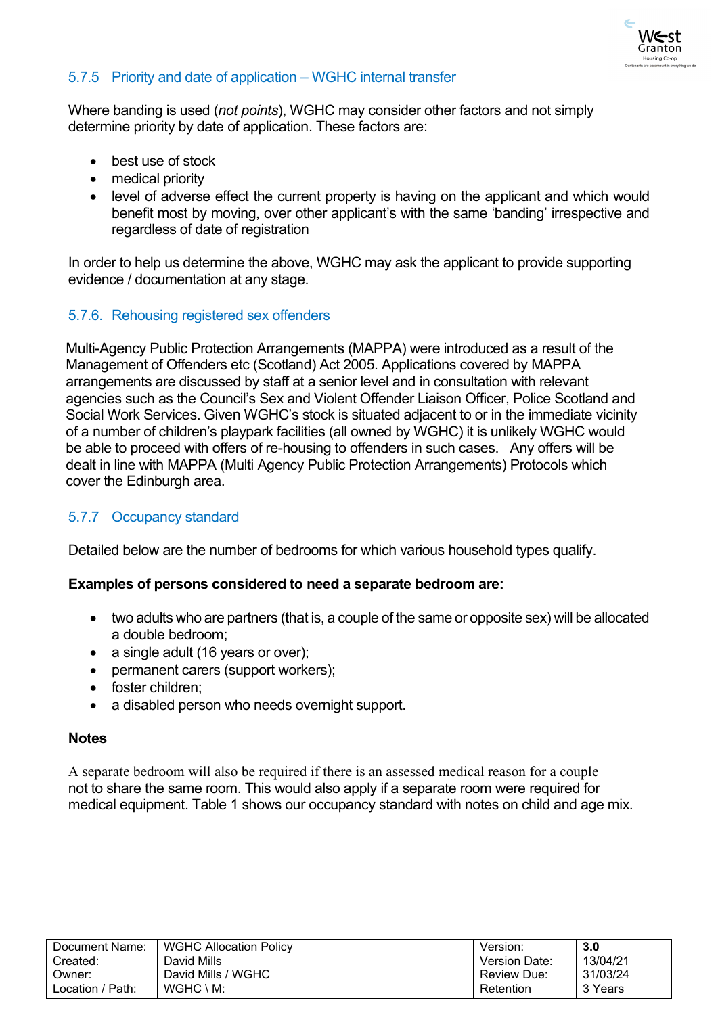

# <span id="page-21-0"></span>5.7.5 Priority and date of application – WGHC internal transfer

Where banding is used (*not points*), WGHC may consider other factors and not simply determine priority by date of application. These factors are:

- best use of stock
- medical priority
- level of adverse effect the current property is having on the applicant and which would benefit most by moving, over other applicant's with the same 'banding' irrespective and regardless of date of registration

In order to help us determine the above, WGHC may ask the applicant to provide supporting evidence / documentation at any stage.

### <span id="page-21-1"></span>5.7.6. Rehousing registered sex offenders

Multi-Agency Public Protection Arrangements (MAPPA) were introduced as a result of the Management of Offenders etc (Scotland) Act 2005. Applications covered by MAPPA arrangements are discussed by staff at a senior level and in consultation with relevant agencies such as the Council's Sex and Violent Offender Liaison Officer, Police Scotland and Social Work Services. Given WGHC's stock is situated adjacent to or in the immediate vicinity of a number of children's playpark facilities (all owned by WGHC) it is unlikely WGHC would be able to proceed with offers of re-housing to offenders in such cases. Any offers will be dealt in line with MAPPA (Multi Agency Public Protection Arrangements) Protocols which cover the Edinburgh area.

# <span id="page-21-2"></span>5.7.7 Occupancy standard

Detailed below are the number of bedrooms for which various household types qualify.

### **Examples of persons considered to need a separate bedroom are:**

- two adults who are partners (that is, a couple of the same or opposite sex) will be allocated a double bedroom;
- a single adult (16 years or over);
- permanent carers (support workers);
- foster children;
- a disabled person who needs overnight support.

#### **Notes**

A separate bedroom will also be required if there is an assessed medical reason for a couple not to share the same room. This would also apply if a separate room were required for medical equipment. Table 1 shows our occupancy standard with notes on child and age mix.

| Document Name:   | WGHC Allocation Policy | Version:             | 3.0      |
|------------------|------------------------|----------------------|----------|
| Created:         | David Mills            | <b>Version Date:</b> | 13/04/21 |
| Owner:           | David Mills / WGHC     | Review Due:          | 31/03/24 |
| Location / Path: | $WGHC \setminus M$ :   | Retention            | 3 Years  |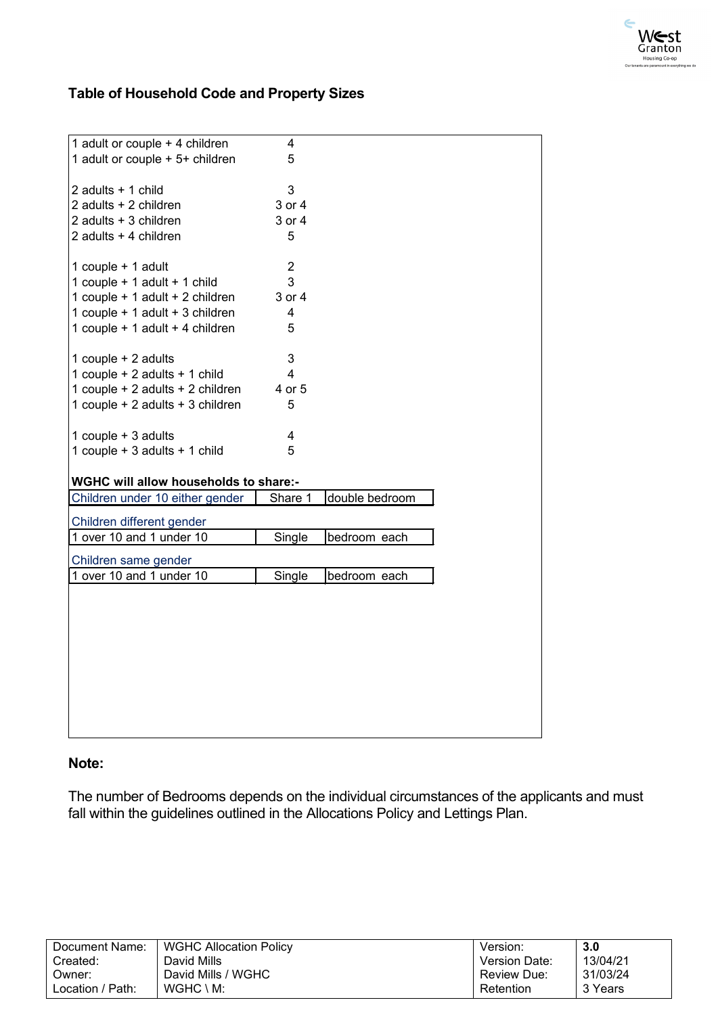

# **Table of Household Code and Property Sizes**

| 1 adult or couple + 4 children                       | 4              |                |
|------------------------------------------------------|----------------|----------------|
| 1 adult or couple + 5+ children                      | 5              |                |
|                                                      |                |                |
| 2 adults + 1 child                                   | 3              |                |
| 2 adults + 2 children                                | 3 or 4         |                |
| 2 adults + 3 children                                | 3 or 4         |                |
| 2 adults + 4 children                                | 5              |                |
|                                                      |                |                |
| 1 couple + 1 adult                                   | $\overline{2}$ |                |
| 1 couple + 1 adult + 1 child                         | 3              |                |
| 1 couple + 1 adult + 2 children                      | 3 or 4         |                |
| 1 couple + 1 adult + 3 children                      | 4              |                |
| 1 couple + 1 adult + 4 children                      | 5              |                |
|                                                      |                |                |
| 1 couple + 2 adults                                  | 3              |                |
| 1 couple + 2 adults + 1 child                        | $\overline{4}$ |                |
| 1 couple + 2 adults + 2 children                     | 4 or 5         |                |
| 1 couple + 2 adults + 3 children                     | 5              |                |
|                                                      |                |                |
| 1 couple + 3 adults<br>1 couple + 3 adults + 1 child | 4<br>5         |                |
|                                                      |                |                |
| <b>WGHC will allow households to share:-</b>         |                |                |
| Children under 10 either gender                      | Share 1        | double bedroom |
|                                                      |                |                |
| Children different gender                            |                |                |
| 1 over 10 and 1 under 10                             | Single         | bedroom each   |
| Children same gender                                 |                |                |
| 1 over 10 and 1 under 10                             | Single         | bedroom each   |
|                                                      |                |                |
|                                                      |                |                |
|                                                      |                |                |
|                                                      |                |                |
|                                                      |                |                |
|                                                      |                |                |
|                                                      |                |                |
|                                                      |                |                |
|                                                      |                |                |
|                                                      |                |                |

### **Note:**

The number of Bedrooms depends on the individual circumstances of the applicants and must fall within the guidelines outlined in the Allocations Policy and Lettings Plan.

| Document Name:   | <b>WGHC Allocation Policy</b> | Version:           | 3.0      |
|------------------|-------------------------------|--------------------|----------|
| Created:         | David Mills                   | Version Date:      | 13/04/21 |
| Owner:           | David Mills / WGHC            | <b>Review Due:</b> | 31/03/24 |
| Location / Path: | $WGHC \setminus M$ :          | Retention          | 3 Years  |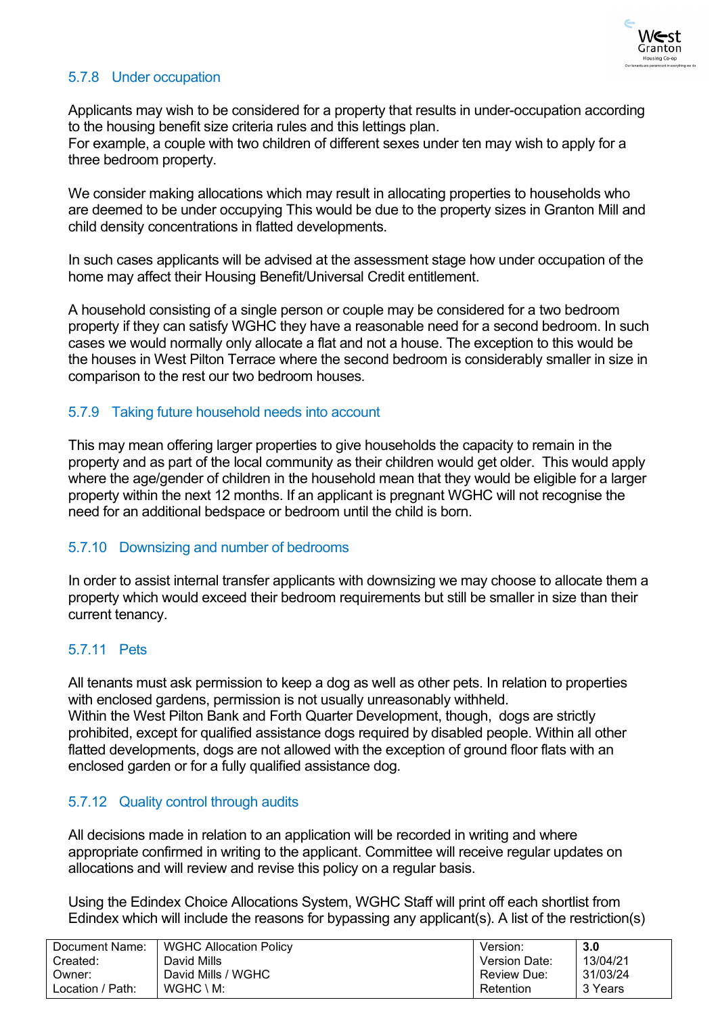

# <span id="page-23-0"></span>5.7.8 Under occupation

Applicants may wish to be considered for a property that results in under-occupation according to the housing benefit size criteria rules and this lettings plan.

For example, a couple with two children of different sexes under ten may wish to apply for a three bedroom property.

We consider making allocations which may result in allocating properties to households who are deemed to be under occupying This would be due to the property sizes in Granton Mill and child density concentrations in flatted developments.

In such cases applicants will be advised at the assessment stage how under occupation of the home may affect their Housing Benefit/Universal Credit entitlement.

A household consisting of a single person or couple may be considered for a two bedroom property if they can satisfy WGHC they have a reasonable need for a second bedroom. In such cases we would normally only allocate a flat and not a house. The exception to this would be the houses in West Pilton Terrace where the second bedroom is considerably smaller in size in comparison to the rest our two bedroom houses.

### <span id="page-23-1"></span>5.7.9 Taking future household needs into account

This may mean offering larger properties to give households the capacity to remain in the property and as part of the local community as their children would get older. This would apply where the age/gender of children in the household mean that they would be eligible for a larger property within the next 12 months. If an applicant is pregnant WGHC will not recognise the need for an additional bedspace or bedroom until the child is born.

### <span id="page-23-2"></span>5.7.10 Downsizing and number of bedrooms

In order to assist internal transfer applicants with downsizing we may choose to allocate them a property which would exceed their bedroom requirements but still be smaller in size than their current tenancy.

# <span id="page-23-3"></span>5.7.11 Pets

All tenants must ask permission to keep a dog as well as other pets. In relation to properties with enclosed gardens, permission is not usually unreasonably withheld. Within the West Pilton Bank and Forth Quarter Development, though, dogs are strictly prohibited, except for qualified assistance dogs required by disabled people. Within all other flatted developments, dogs are not allowed with the exception of ground floor flats with an enclosed garden or for a fully qualified assistance dog.

# <span id="page-23-4"></span>5.7.12 Quality control through audits

All decisions made in relation to an application will be recorded in writing and where appropriate confirmed in writing to the applicant. Committee will receive regular updates on allocations and will review and revise this policy on a regular basis.

Using the Edindex Choice Allocations System, WGHC Staff will print off each shortlist from Edindex which will include the reasons for bypassing any applicant(s). A list of the restriction(s)

| Document Name:   | <b>WGHC Allocation Policy</b> | Version:           | 3.0      |
|------------------|-------------------------------|--------------------|----------|
| Created:         | David Mills                   | Version Date:      | 13/04/21 |
| :Dwner           | David Mills / WGHC            | <b>Review Due:</b> | 31/03/24 |
| Location / Path: | $WGHC \setminus M$ :          | Retention          | 3 Years  |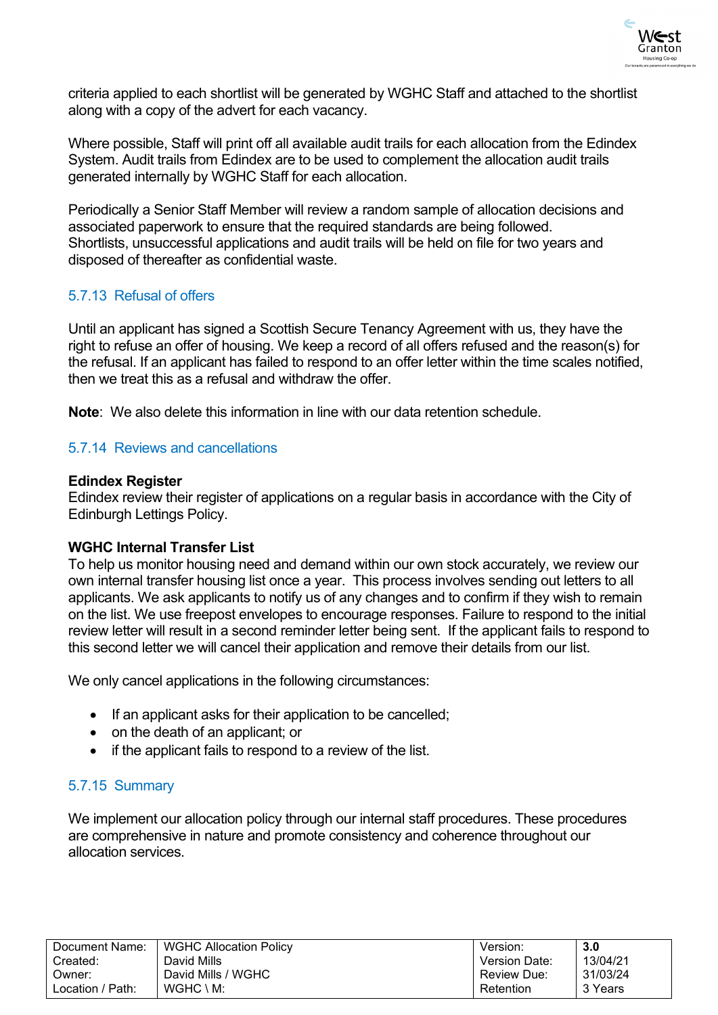

criteria applied to each shortlist will be generated by WGHC Staff and attached to the shortlist along with a copy of the advert for each vacancy.

Where possible, Staff will print off all available audit trails for each allocation from the Edindex System. Audit trails from Edindex are to be used to complement the allocation audit trails generated internally by WGHC Staff for each allocation.

Periodically a Senior Staff Member will review a random sample of allocation decisions and associated paperwork to ensure that the required standards are being followed. Shortlists, unsuccessful applications and audit trails will be held on file for two years and disposed of thereafter as confidential waste.

# <span id="page-24-0"></span>5.7.13 Refusal of offers

Until an applicant has signed a Scottish Secure Tenancy Agreement with us, they have the right to refuse an offer of housing. We keep a record of all offers refused and the reason(s) for the refusal. If an applicant has failed to respond to an offer letter within the time scales notified, then we treat this as a refusal and withdraw the offer.

**Note**: We also delete this information in line with our data retention schedule.

### <span id="page-24-1"></span>5.7.14 Reviews and cancellations

### **Edindex Register**

Edindex review their register of applications on a regular basis in accordance with the City of Edinburgh Lettings Policy.

### **WGHC Internal Transfer List**

To help us monitor housing need and demand within our own stock accurately, we review our own internal transfer housing list once a year. This process involves sending out letters to all applicants. We ask applicants to notify us of any changes and to confirm if they wish to remain on the list. We use freepost envelopes to encourage responses. Failure to respond to the initial review letter will result in a second reminder letter being sent. If the applicant fails to respond to this second letter we will cancel their application and remove their details from our list.

We only cancel applications in the following circumstances:

- If an applicant asks for their application to be cancelled;
- on the death of an applicant; or
- if the applicant fails to respond to a review of the list.

# <span id="page-24-2"></span>5.7.15 Summary

We implement our allocation policy through our internal staff procedures. These procedures are comprehensive in nature and promote consistency and coherence throughout our allocation services.

| Document Name:   | <b>WGHC Allocation Policy</b> | Version:             | 3.0      |
|------------------|-------------------------------|----------------------|----------|
| Created:         | David Mills                   | <b>Version Date:</b> | 13/04/21 |
| Owner:           | David Mills / WGHC            | <b>Review Due:</b>   | 31/03/24 |
| Location / Path: | $WGHC \setminus M$ :          | Retention            | 3 Years  |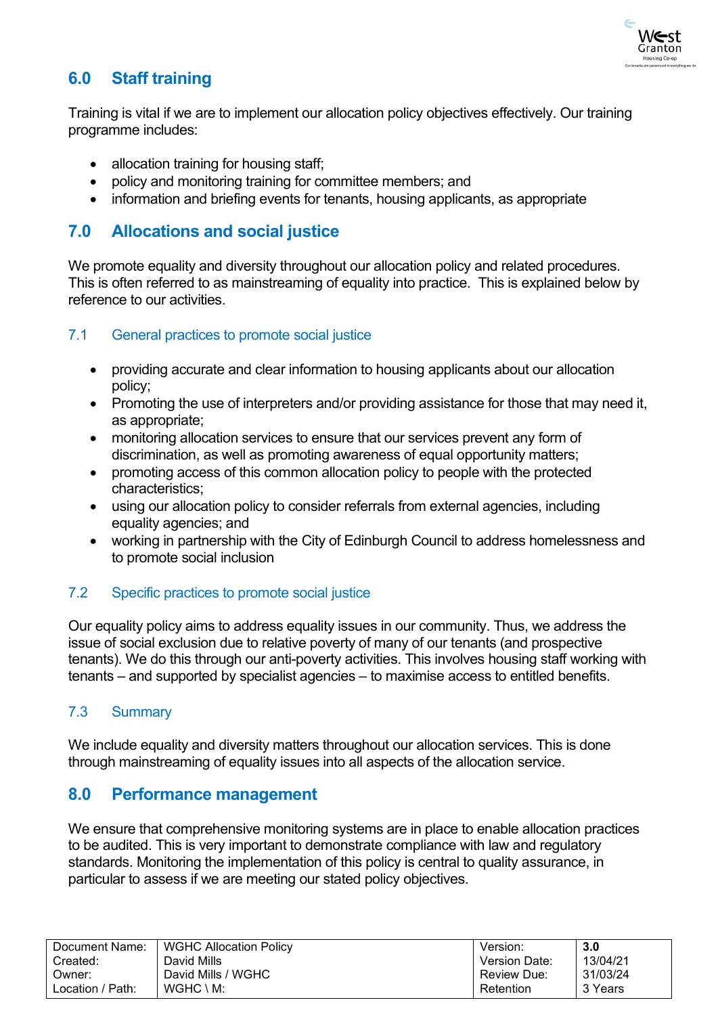

# <span id="page-25-0"></span>**6.0 Staff training**

Training is vital if we are to implement our allocation policy objectives effectively. Our training programme includes:

- allocation training for housing staff;
- policy and monitoring training for committee members; and
- information and briefing events for tenants, housing applicants, as appropriate

# <span id="page-25-1"></span>**7.0 Allocations and social justice**

We promote equality and diversity throughout our allocation policy and related procedures. This is often referred to as mainstreaming of equality into practice. This is explained below by reference to our activities.

# <span id="page-25-2"></span>7.1 General practices to promote social justice

- providing accurate and clear information to housing applicants about our allocation policy;
- Promoting the use of interpreters and/or providing assistance for those that may need it, as appropriate;
- monitoring allocation services to ensure that our services prevent any form of discrimination, as well as promoting awareness of equal opportunity matters;
- promoting access of this common allocation policy to people with the protected characteristics;
- using our allocation policy to consider referrals from external agencies, including equality agencies; and
- working in partnership with the City of Edinburgh Council to address homelessness and to promote social inclusion

# <span id="page-25-3"></span>7.2 Specific practices to promote social justice

Our equality policy aims to address equality issues in our community. Thus, we address the issue of social exclusion due to relative poverty of many of our tenants (and prospective tenants). We do this through our anti-poverty activities. This involves housing staff working with tenants – and supported by specialist agencies – to maximise access to entitled benefits.

# <span id="page-25-4"></span>7.3 Summary

We include equality and diversity matters throughout our allocation services. This is done through mainstreaming of equality issues into all aspects of the allocation service.

# <span id="page-25-5"></span>**8.0 Performance management**

We ensure that comprehensive monitoring systems are in place to enable allocation practices to be audited. This is very important to demonstrate compliance with law and regulatory standards. Monitoring the implementation of this policy is central to quality assurance, in particular to assess if we are meeting our stated policy objectives.

| Document Name:   | <b>WGHC Allocation Policy</b> | Version:      | 3.0      |
|------------------|-------------------------------|---------------|----------|
| Created:         | David Mills                   | Version Date: | 13/04/21 |
| Owner:           | David Mills / WGHC            | Review Due:   | 31/03/24 |
| Location / Path: | $WGHC \setminus M$ :          | Retention     | 3 Years  |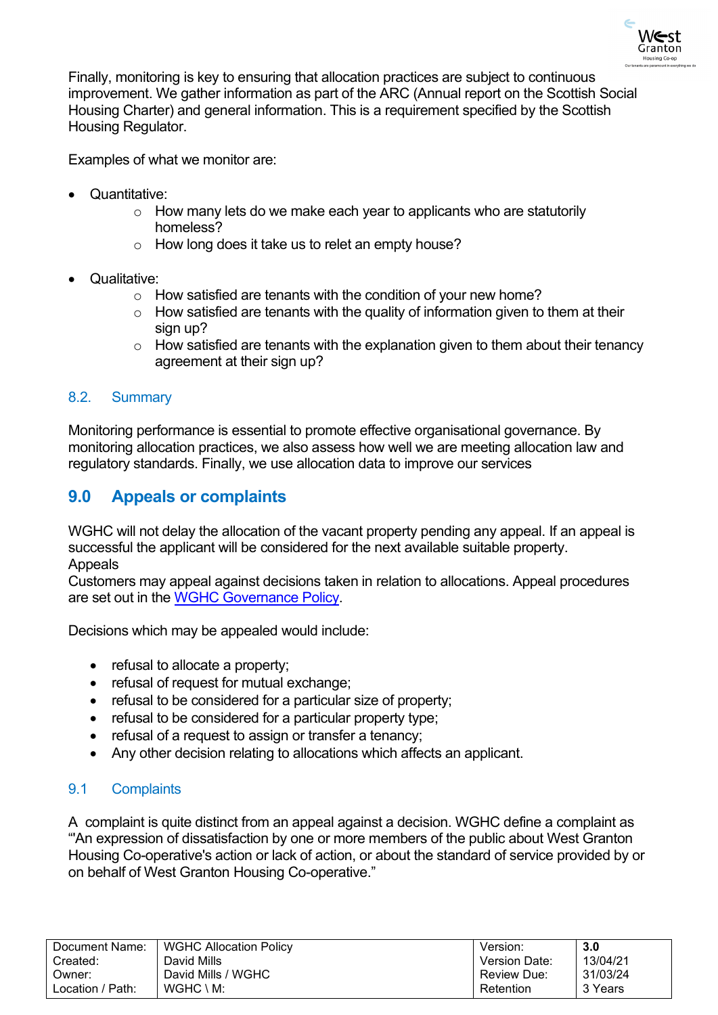

Finally, monitoring is key to ensuring that allocation practices are subject to continuous improvement. We gather information as part of the ARC (Annual report on the Scottish Social Housing Charter) and general information. This is a requirement specified by the Scottish Housing Regulator.

Examples of what we monitor are:

- Quantitative:
	- o How many lets do we make each year to applicants who are statutorily homeless?
	- o How long does it take us to relet an empty house?
- Qualitative:
	- o How satisfied are tenants with the condition of your new home?
	- $\circ$  How satisfied are tenants with the quality of information given to them at their sign up?
	- $\circ$  How satisfied are tenants with the explanation given to them about their tenancy agreement at their sign up?

### <span id="page-26-0"></span>8.2. Summary

Monitoring performance is essential to promote effective organisational governance. By monitoring allocation practices, we also assess how well we are meeting allocation law and regulatory standards. Finally, we use allocation data to improve our services

# <span id="page-26-1"></span>**9.0 Appeals or complaints**

WGHC will not delay the allocation of the vacant property pending any appeal. If an appeal is successful the applicant will be considered for the next available suitable property. **Appeals** 

Customers may appeal against decisions taken in relation to allocations. Appeal procedures are set out in the [WGHC Governance Policy.](https://www.westgrantonhousing.coop/wp-content/uploads/2017/05/Governance-2016.pdf)

Decisions which may be appealed would include:

- refusal to allocate a property;
- refusal of request for mutual exchange:
- refusal to be considered for a particular size of property:
- refusal to be considered for a particular property type;
- refusal of a request to assign or transfer a tenancy:
- Any other decision relating to allocations which affects an applicant.

### <span id="page-26-2"></span>9.1 Complaints

A complaint is quite distinct from an appeal against a decision. WGHC define a complaint as "'An expression of dissatisfaction by one or more members of the public about West Granton Housing Co-operative's action or lack of action, or about the standard of service provided by or on behalf of West Granton Housing Co-operative."

| Document Name:   | <b>WGHC Allocation Policy</b> | Version:           | 3.0      |
|------------------|-------------------------------|--------------------|----------|
| Created:         | David Mills                   | Version Date:      | 13/04/21 |
| Owner:           | David Mills / WGHC            | <b>Review Due:</b> | 31/03/24 |
| Location / Path: | $WGHC \setminus M$ :          | Retention          | 3 Years  |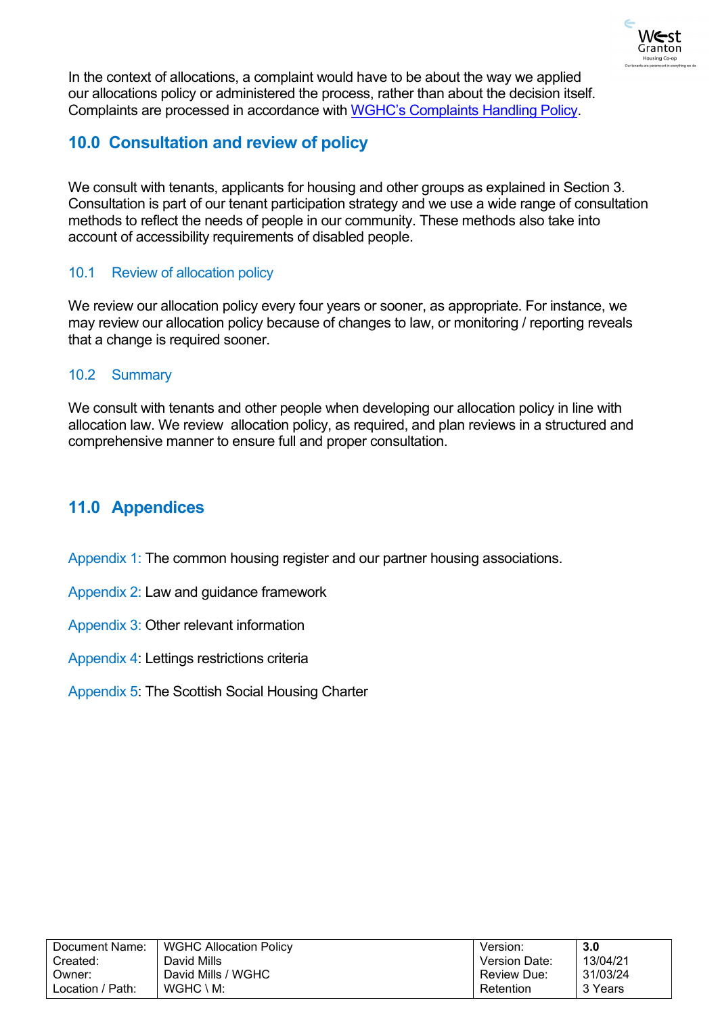

In the context of allocations, a complaint would have to be about the way we applied our allocations policy or administered the process, rather than about the decision itself. Complaints are processed in accordance with [WGHC's Complaints Handling Policy.](https://www.westgrantonhousing.coop/wp-content/uploads/2021/03/WGHC-Model-Complaints-Handling-Procedure-Part-5-for-customers.pdf)

# <span id="page-27-0"></span>**10.0 Consultation and review of policy**

We consult with tenants, applicants for housing and other groups as explained in Section 3. Consultation is part of our tenant participation strategy and we use a wide range of consultation methods to reflect the needs of people in our community. These methods also take into account of accessibility requirements of disabled people.

# <span id="page-27-1"></span>10.1 Review of allocation policy

We review our allocation policy every four years or sooner, as appropriate. For instance, we may review our allocation policy because of changes to law, or monitoring / reporting reveals that a change is required sooner.

# <span id="page-27-2"></span>10.2 Summary

We consult with tenants and other people when developing our allocation policy in line with allocation law. We review allocation policy, as required, and plan reviews in a structured and comprehensive manner to ensure full and proper consultation.

# <span id="page-27-3"></span>**11.0 Appendices**

Appendix 1: The common housing register and our partner housing associations.

- Appendix 2: Law and guidance framework
- Appendix 3: Other relevant information
- Appendix 4: Lettings restrictions criteria
- Appendix 5: The Scottish Social Housing Charter

| Document Name:   | <b>WGHC Allocation Policy</b> | Version:             | 3.0      |
|------------------|-------------------------------|----------------------|----------|
| Created:         | David Mills                   | <b>Version Date:</b> | 13/04/21 |
| Owner:           | David Mills / WGHC            | Review Due:          | 31/03/24 |
| Location / Path: | $WGHC \setminus M$ :          | Retention            | 3 Years  |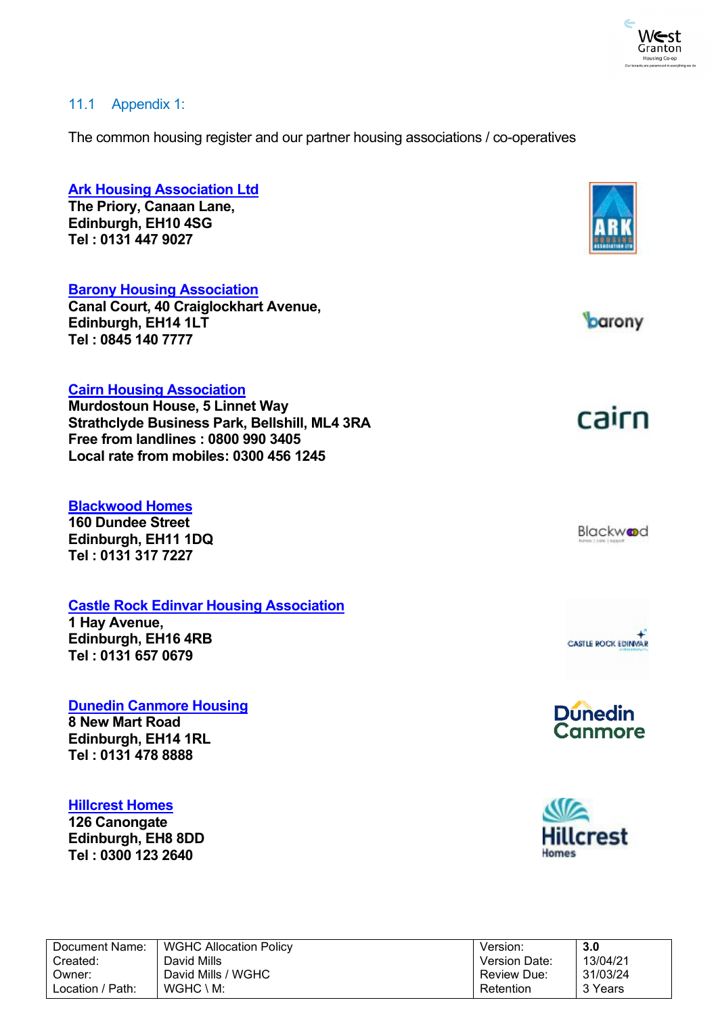

### <span id="page-28-0"></span>11.1 Appendix 1:

The common housing register and our partner housing associations / co-operatives

# **[Ark Housing Association Ltd](https://www.arkha.org.uk/) The Priory, Canaan Lane, Edinburgh, EH10 4SG Tel : 0131 447 9027 [Barony Housing Association](https://www.baronyha.org.uk/) Canal Court, 40 Craiglockhart Avenue,** barony **Edinburgh, EH14 1LT [Te](http://www.cairnha.com/)l : 0845 140 7777 [Cairn Housing Association](http://www.cairnha.com/) Murdostoun House, 5 Linnet Way** cairn **Strathclyde Business Park, Bellshill, ML4 3RA Free from landlines : 0800 990 3405**

#### **[Blackwood Homes](http://www.blackwoodgroup.org.uk/)**

**160 Dundee Street Edinburgh, EH11 1DQ Tel : 0131 317 7227**

### **[Castle Rock Edinvar Housing Association](http://www.placesforpeople.co.uk/)**

**Local rate from mobiles: 0300 456 1245**

**1 Hay Avenue, Edinburgh, EH16 4RB Tel : 0131 657 0679**

#### **[Dunedin Canmore Housing](http://www.dunedincanmore.org.uk/)**

**8 New Mart Road Edinburgh, EH14 1RL Tel : 0131 478 8888**

#### **[Hillcrest Homes](http://www.hillcrestha.org.uk/)**

**126 Canongate Edinburgh, EH8 8DD Tel : 0300 123 2640**









| Document Name:   | <b>WGHC Allocation Policy</b> | Version:             | 3.0      |
|------------------|-------------------------------|----------------------|----------|
| Created:         | David Mills                   | <b>Version Date:</b> | 13/04/21 |
| Owner:           | David Mills / WGHC            | <b>Review Due:</b>   | 31/03/24 |
| Location / Path: | $WGHC \setminus M$ :          | Retention            | 3 Years  |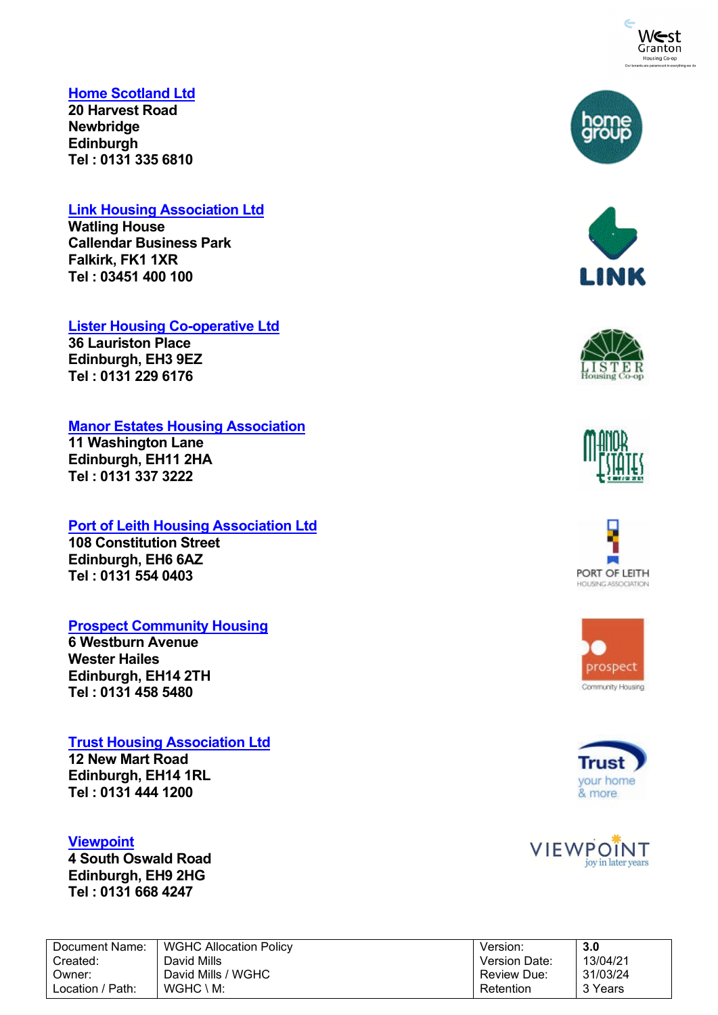

### **[Home Scotland Ltd](http://www.homeinscotland.org.uk/)**

**20 Harvest Road Newbridge Edinburgh Tel : 0131 335 6810**

### **[Link Housing Association Ltd](http://linkhousing.org.uk/)**

**Watling House Callendar Business Park Falkirk, FK1 1XR Tel : 03451 400 100**

### **[Lister Housing Co-operative Ltd](https://lister.coop/)**

**36 Lauriston Place Edinburgh, EH3 9EZ Tel : 0131 229 6176**

### **[Manor Estates Housing Association](http://www.manorestates.org.uk/)**

**11 Washington Lane Edinburgh, EH11 2HA Tel : 0131 337 3222**

# **[Port of Leith Housing Association Ltd](http://www.polha.co.uk/)**

**108 Constitution Street Edinburgh, EH6 6AZ Tel : 0131 554 0403**

# **[Prospect Community Housing](http://www.prospectch.org.uk/)**

**6 Westburn Avenue Wester Hailes Edinburgh, EH14 2TH Tel : 0131 458 5480**

### **[Trust Housing Association Ltd](http://www.trustha.org.uk/)**

WGHC \ M:

**12 New Mart Road Edinburgh, EH14 1RL Tel : 0131 444 1200**

### **[Viewpoint](http://www.viewpoint.org.uk/)**

Document Name:

Location / Path:

Created: Owner:

**4 South Oswald Road Edinburgh, EH9 2HG Tel : 0131 668 4247**

| <b>WGHC Allocation Policy</b> | Version:             | 3.0      |
|-------------------------------|----------------------|----------|
| David Mills                   | <b>Version Date:</b> | 13/04/21 |
| David Mills / WGHC            | <b>Review Due:</b>   | 31/03/24 |

**Retention** 

















3 Years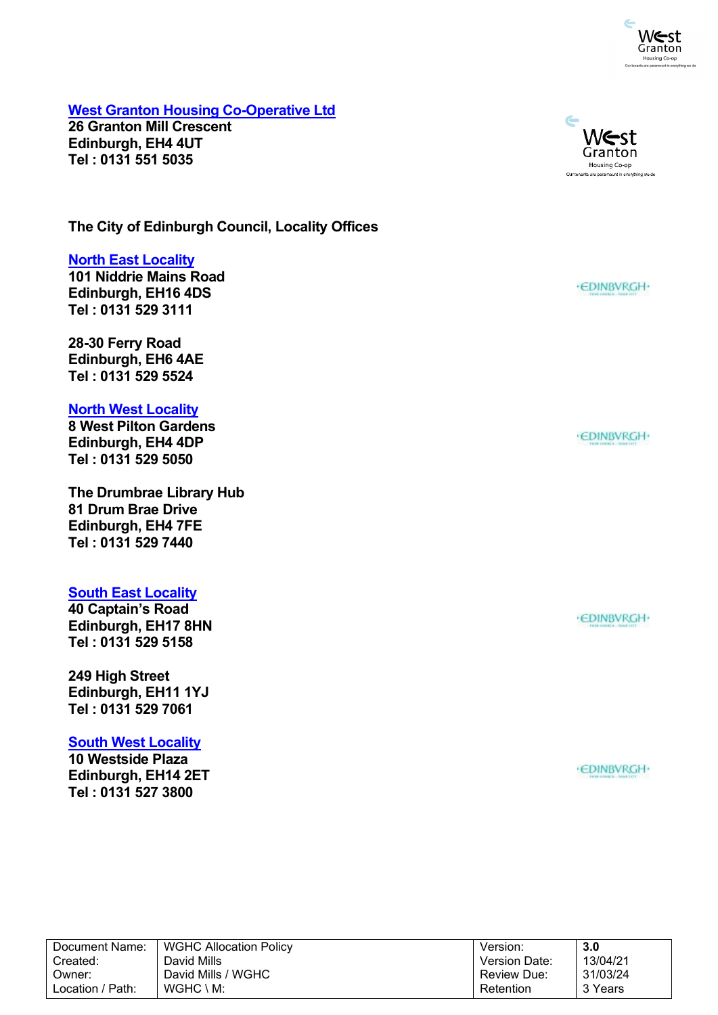

**[West Granton Housing Co-Operative Ltd](http://www.westgrantonhousing.coop/)**

**26 Granton Mill Crescent Edinburgh, EH4 4UT Tel : 0131 551 5035**

**The City of Edinburgh Council, Locality Offices**

### **[North East Locality](http://www.edinburgh.gov.uk/info/20017/neighbourhoods/185/east_neighbourhood)**

**101 Niddrie Mains Road Edinburgh, EH16 4DS Tel : 0131 529 3111**

**28-30 Ferry Road Edinburgh, EH6 4AE Tel : 0131 529 5524**

#### **[North West Locality](http://www.edinburgh.gov.uk/info/20017/neighbourhoods/187/north_neighbourhood)**

**8 West Pilton Gardens Edinburgh, EH4 4DP Tel : 0131 529 5050**

**The Drumbrae Library Hub 81 Drum Brae Drive Edinburgh, EH4 7FE Tel : 0131 529 7440**

#### **[South East Locality](http://www.edinburgh.gov.uk/info/20017/neighbourhoods/191/south_neighbourhood)**

**40 Captain's Road Edinburgh, EH17 8HN Tel : 0131 529 5158**

**249 High Street Edinburgh, EH11 1YJ Tel : 0131 529 7061**

#### **[South West Locality](http://www.edinburgh.gov.uk/info/20094/south_west_neighbourhood)**

**10 Westside Plaza Edinburgh, EH14 2ET Tel : 0131 527 3800**



West Granton Housing Co-op Our tenants are paramount in everything we do

 $\subset$ 

· EDINBVRGH·

·EDINBVRGH·

· EDINBVRGH·

| Document Name:   | <b>WGHC Allocation Policy</b> | Version:             | 3.0      |
|------------------|-------------------------------|----------------------|----------|
| Created:         | David Mills                   | <b>Version Date:</b> | 13/04/21 |
| ่ Owner:         | David Mills / WGHC            | <b>Review Due:</b>   | 31/03/24 |
| Location / Path: | $WGHC \setminus M$ :          | Retention            | 3 Years  |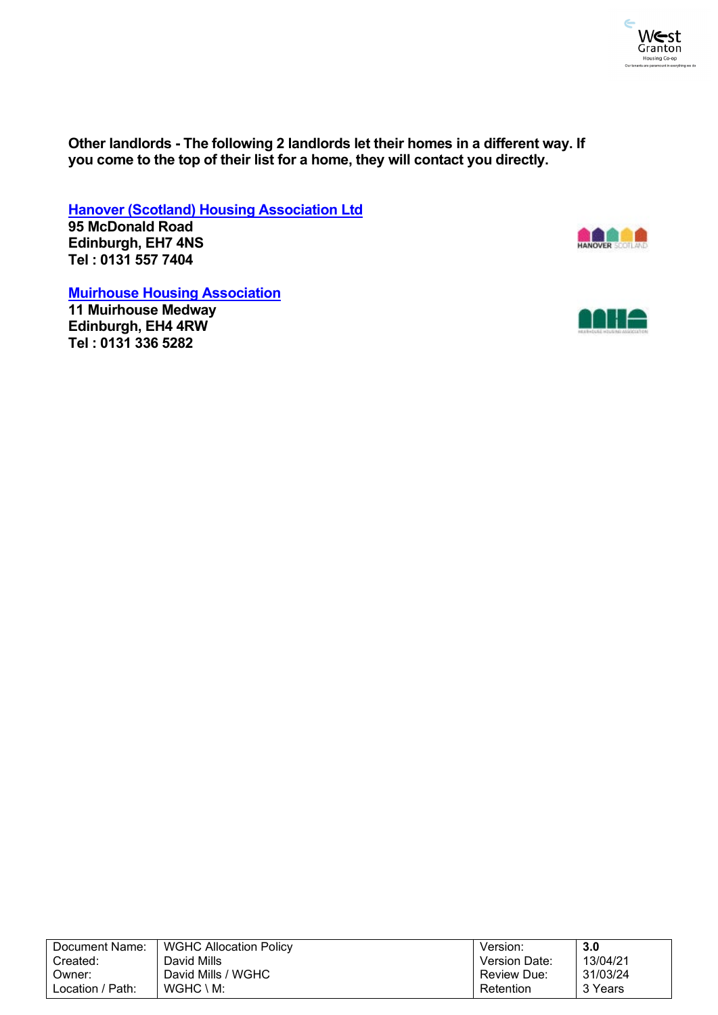

**Other landlords - The following 2 landlords let their homes in a different way. If you come to the top of their list for a home, they will contact you directly.**

**[Hanover \(Scotland\) Housing Association Ltd](http://www.hsha.org.uk/) 95 McDonald Road**

**Edinburgh, EH7 4NS Tel : 0131 557 7404**



**[Muirhouse Housing Association](http://www.muirhouseha.org.uk/)**

**11 Muirhouse Medway Edinburgh, EH4 4RW Tel : 0131 336 5282**



| Document Name:   | <b>WGHC Allocation Policy</b> | Version:           | 3.0      |
|------------------|-------------------------------|--------------------|----------|
| Created:         | David Mills                   | Version Date:      | 13/04/21 |
| Owner:           | David Mills / WGHC            | <b>Review Due:</b> | 31/03/24 |
| Location / Path: | $WGHC \setminus M$ :          | Retention          | 3 Years  |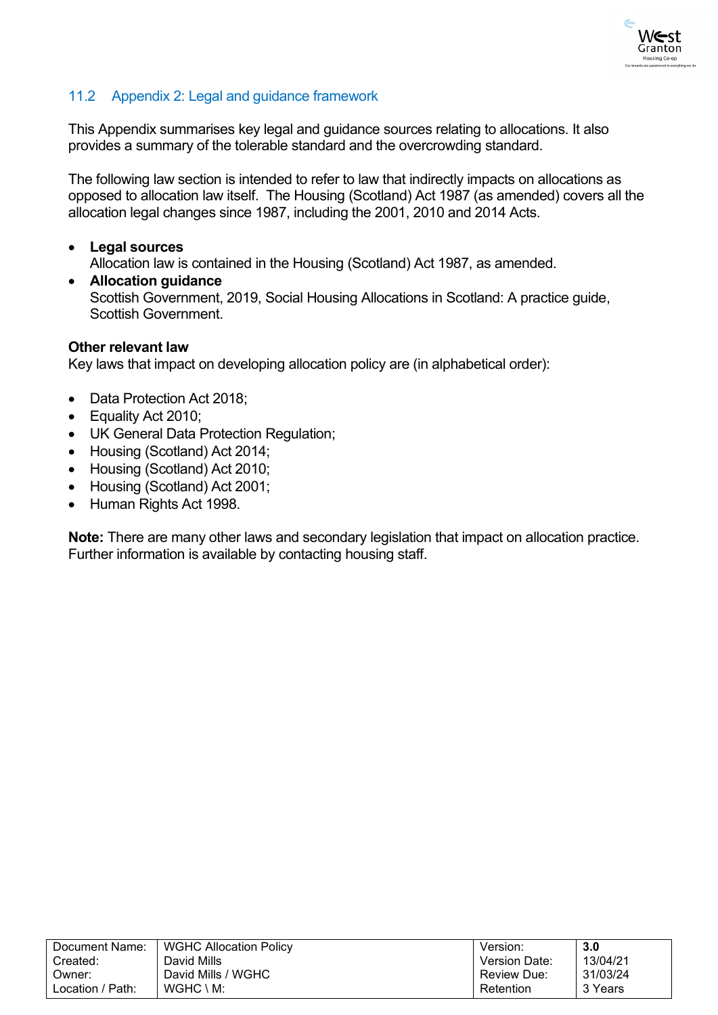

# <span id="page-32-0"></span>11.2 Appendix 2: Legal and guidance framework

This Appendix summarises key legal and guidance sources relating to allocations. It also provides a summary of the tolerable standard and the overcrowding standard.

The following law section is intended to refer to law that indirectly impacts on allocations as opposed to allocation law itself. The Housing (Scotland) Act 1987 (as amended) covers all the allocation legal changes since 1987, including the 2001, 2010 and 2014 Acts.

- **Legal sources** Allocation law is contained in the Housing (Scotland) Act 1987, as amended.
- **Allocation guidance** Scottish Government, 2019, Social Housing Allocations in Scotland: A practice guide, Scottish Government.

### **Other relevant law**

Key laws that impact on developing allocation policy are (in alphabetical order):

- Data Protection Act 2018;
- Equality Act 2010;
- UK General Data Protection Regulation;
- Housing (Scotland) Act 2014;
- Housing (Scotland) Act 2010;
- Housing (Scotland) Act 2001;
- Human Rights Act 1998.

**Note:** There are many other laws and secondary legislation that impact on allocation practice. Further information is available by contacting housing staff.

| Document Name:   | <b>WGHC Allocation Policy</b> | Version:             | 3.0      |
|------------------|-------------------------------|----------------------|----------|
| Created:         | David Mills                   | <b>Version Date:</b> | 13/04/21 |
| Owner:           | David Mills / WGHC            | Review Due:          | 31/03/24 |
| Location / Path: | $WGHC \setminus M$ :          | Retention            | 3 Years  |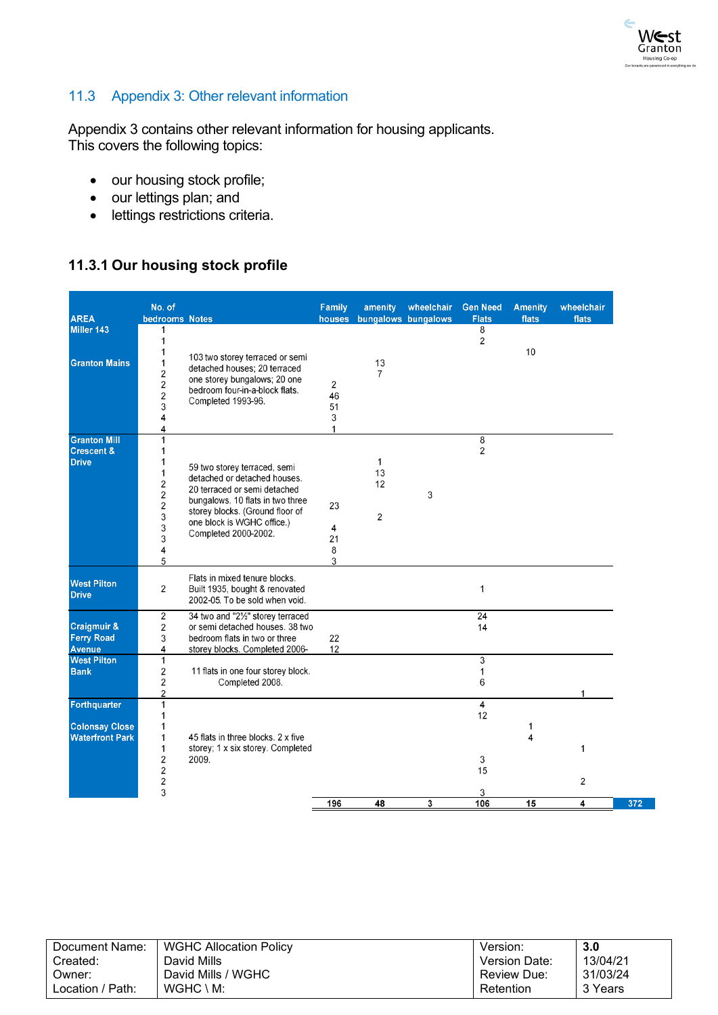

# <span id="page-33-0"></span>11.3 Appendix 3: Other relevant information

Appendix 3 contains other relevant information for housing applicants. This covers the following topics:

- our housing stock profile;
- our lettings plan; and
- lettings restrictions criteria.

# <span id="page-33-1"></span>**11.3.1 Our housing stock profile**

|                                              | No. of                                                    |                                                                                                   | Family                                | amenity              | wheelchair          | <b>Gen Need</b>     | <b>Amenity</b> | wheelchair |
|----------------------------------------------|-----------------------------------------------------------|---------------------------------------------------------------------------------------------------|---------------------------------------|----------------------|---------------------|---------------------|----------------|------------|
| <b>AREA</b>                                  | bedrooms Notes                                            |                                                                                                   | houses                                |                      | bungalows bungalows | <b>Flats</b>        | flats          | flats      |
| Miller 143                                   | 1<br>$\mathbf{1}$<br>1                                    |                                                                                                   |                                       |                      |                     | 8<br>$\overline{2}$ | 10             |            |
| <b>Granton Mains</b>                         | $\mathbf{1}$<br>$\overline{\mathbf{c}}$<br>$\overline{2}$ | 103 two storey terraced or semi<br>detached houses; 20 terraced<br>one storey bungalows; 20 one   | 2                                     | 13<br>$\overline{7}$ |                     |                     |                |            |
|                                              | $\overline{\mathbf{c}}$<br>3<br>4                         | bedroom four-in-a-block flats.<br>Completed 1993-96.                                              | 46<br>51<br>$\ensuremath{\mathsf{3}}$ |                      |                     |                     |                |            |
|                                              | 4                                                         |                                                                                                   | $\mathbf{1}$                          |                      |                     |                     |                |            |
| <b>Granton Mill</b><br><b>Crescent &amp;</b> | $\mathbf{1}$<br>$\mathbf{1}$                              |                                                                                                   |                                       |                      |                     | 8<br>$\overline{2}$ |                |            |
| <b>Drive</b>                                 | 1<br>$\mathbf{1}$<br>$\overline{\mathbf{c}}$              | 59 two storey terraced, semi<br>detached or detached houses.<br>20 terraced or semi detached      |                                       | 1<br>13<br>12        |                     |                     |                |            |
|                                              | $\overline{2}$<br>$\frac{2}{3}$                           | bungalows. 10 flats in two three<br>storey blocks. (Ground floor of                               | 23                                    | 2                    | 3                   |                     |                |            |
|                                              | 3<br>3                                                    | one block is WGHC office.)<br>Completed 2000-2002.                                                | 4<br>21                               |                      |                     |                     |                |            |
|                                              | 4<br>5                                                    |                                                                                                   | 8<br>3                                |                      |                     |                     |                |            |
| <b>West Pilton</b><br><b>Drive</b>           | 2                                                         | Flats in mixed tenure blocks.<br>Built 1935, bought & renovated<br>2002-05. To be sold when void. |                                       |                      |                     | 1                   |                |            |
|                                              | 2                                                         | 34 two and "21/2" storey terraced                                                                 |                                       |                      |                     | 24                  |                |            |
| Craigmuir &                                  | 2                                                         | or semi detached houses. 38 two                                                                   |                                       |                      |                     | 14                  |                |            |
| <b>Ferry Road</b>                            | 3                                                         | bedroom flats in two or three                                                                     | 22                                    |                      |                     |                     |                |            |
| Avenue<br><b>West Pilton</b>                 | 4<br>$\mathbf{1}$                                         | storey blocks. Completed 2006-                                                                    | 12                                    |                      |                     | 3                   |                |            |
| <b>Bank</b>                                  | 2                                                         | 11 flats in one four storey block.                                                                |                                       |                      |                     | $\mathbf{1}$        |                |            |
|                                              | 2                                                         | Completed 2008.                                                                                   |                                       |                      |                     | 6                   |                |            |
|                                              | $\overline{2}$                                            |                                                                                                   |                                       |                      |                     |                     |                |            |
| Forthquarter                                 | 1<br>1                                                    |                                                                                                   |                                       |                      |                     | 4<br>12             |                |            |
| <b>Colonsay Close</b>                        | $\mathbf{1}$                                              |                                                                                                   |                                       |                      |                     |                     | 1              |            |
| <b>Waterfront Park</b>                       | 1                                                         | 45 flats in three blocks. 2 x five                                                                |                                       |                      |                     |                     | 4              |            |
|                                              | 1                                                         | storey; 1 x six storey. Completed                                                                 |                                       |                      |                     |                     |                | 1          |
|                                              | 2                                                         | 2009.                                                                                             |                                       |                      |                     | 3                   |                |            |
|                                              | $\mathbf 2$                                               |                                                                                                   |                                       |                      |                     | 15                  |                |            |
|                                              | $\overline{\mathbf{c}}$<br>3                              |                                                                                                   |                                       |                      |                     | 3                   |                | 2          |
|                                              |                                                           |                                                                                                   | 196                                   | 48                   | 3                   | 106                 | 15             | 4          |

| Document Name:   | <b>WGHC Allocation Policy</b> | Version:      | 3.0      |
|------------------|-------------------------------|---------------|----------|
| Created:         | David Mills                   | Version Date: | 13/04/21 |
| Owner:           | David Mills / WGHC            | Review Due:   | 31/03/24 |
| Location / Path: | $WGHC \setminus M$ :          | Retention     | 3 Years  |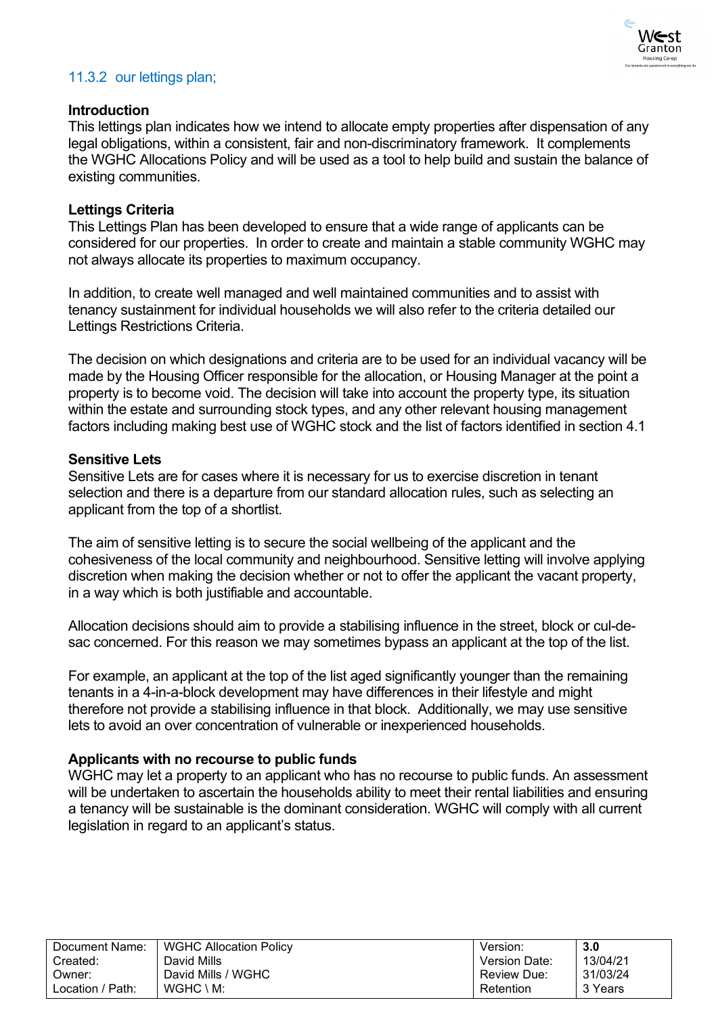

# <span id="page-34-0"></span>11.3.2 our lettings plan;

### **Introduction**

This lettings plan indicates how we intend to allocate empty properties after dispensation of any legal obligations, within a consistent, fair and non-discriminatory framework. It complements the WGHC Allocations Policy and will be used as a tool to help build and sustain the balance of existing communities.

### **Lettings Criteria**

This Lettings Plan has been developed to ensure that a wide range of applicants can be considered for our properties. In order to create and maintain a stable community WGHC may not always allocate its properties to maximum occupancy.

In addition, to create well managed and well maintained communities and to assist with tenancy sustainment for individual households we will also refer to the criteria detailed our Lettings Restrictions Criteria.

The decision on which designations and criteria are to be used for an individual vacancy will be made by the Housing Officer responsible for the allocation, or Housing Manager at the point a property is to become void. The decision will take into account the property type, its situation within the estate and surrounding stock types, and any other relevant housing management factors including making best use of WGHC stock and the list of factors identified in section 4.1

### **Sensitive Lets**

Sensitive Lets are for cases where it is necessary for us to exercise discretion in tenant selection and there is a departure from our standard allocation rules, such as selecting an applicant from the top of a shortlist.

The aim of sensitive letting is to secure the social wellbeing of the applicant and the cohesiveness of the local community and neighbourhood. Sensitive letting will involve applying discretion when making the decision whether or not to offer the applicant the vacant property, in a way which is both justifiable and accountable.

Allocation decisions should aim to provide a stabilising influence in the street, block or cul-desac concerned. For this reason we may sometimes bypass an applicant at the top of the list.

For example, an applicant at the top of the list aged significantly younger than the remaining tenants in a 4-in-a-block development may have differences in their lifestyle and might therefore not provide a stabilising influence in that block. Additionally, we may use sensitive lets to avoid an over concentration of vulnerable or inexperienced households.

### **Applicants with no recourse to public funds**

WGHC may let a property to an applicant who has no recourse to public funds. An assessment will be undertaken to ascertain the households ability to meet their rental liabilities and ensuring a tenancy will be sustainable is the dominant consideration. WGHC will comply with all current legislation in regard to an applicant's status.

| Document Name:   | <b>WGHC Allocation Policy</b> | Version:             | 3.0      |
|------------------|-------------------------------|----------------------|----------|
| Created:         | David Mills                   | <b>Version Date:</b> | 13/04/21 |
| Owner:           | David Mills / WGHC            | <b>Review Due:</b>   | 31/03/24 |
| Location / Path: | $WGHC \setminus M$ :          | Retention            | 3 Years  |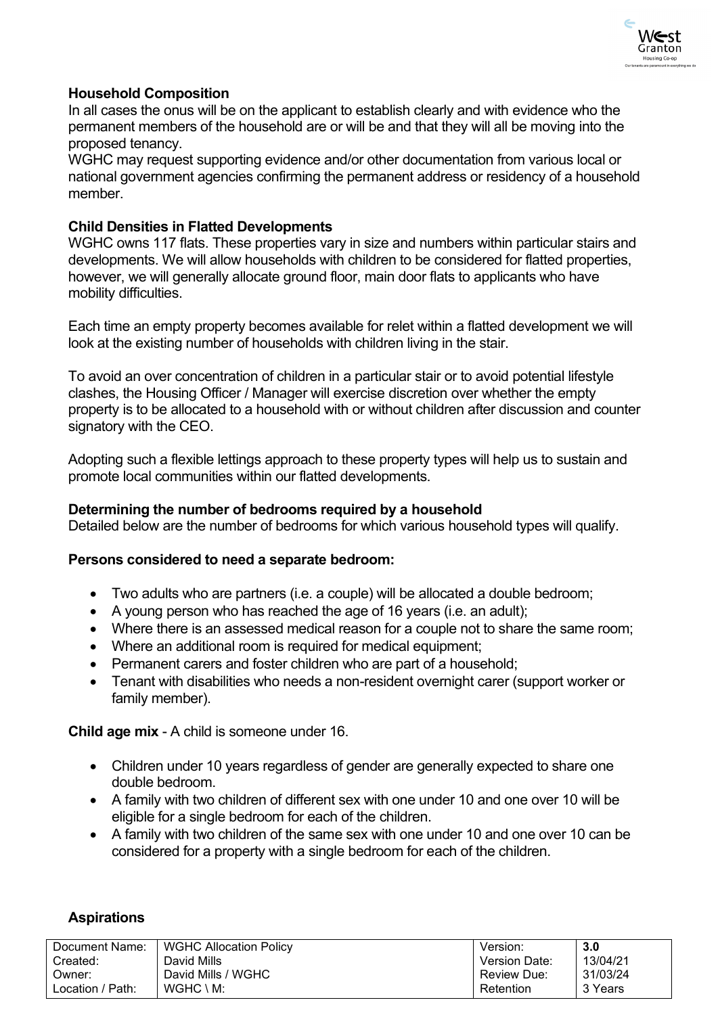

### **Household Composition**

In all cases the onus will be on the applicant to establish clearly and with evidence who the permanent members of the household are or will be and that they will all be moving into the proposed tenancy.

WGHC may request supporting evidence and/or other documentation from various local or national government agencies confirming the permanent address or residency of a household member.

### **Child Densities in Flatted Developments**

WGHC owns 117 flats. These properties vary in size and numbers within particular stairs and developments. We will allow households with children to be considered for flatted properties, however, we will generally allocate ground floor, main door flats to applicants who have mobility difficulties.

Each time an empty property becomes available for relet within a flatted development we will look at the existing number of households with children living in the stair.

To avoid an over concentration of children in a particular stair or to avoid potential lifestyle clashes, the Housing Officer / Manager will exercise discretion over whether the empty property is to be allocated to a household with or without children after discussion and counter signatory with the CEO.

Adopting such a flexible lettings approach to these property types will help us to sustain and promote local communities within our flatted developments.

### **Determining the number of bedrooms required by a household**

Detailed below are the number of bedrooms for which various household types will qualify.

### **Persons considered to need a separate bedroom:**

- Two adults who are partners (i.e. a couple) will be allocated a double bedroom;
- A young person who has reached the age of 16 years (i.e. an adult);
- Where there is an assessed medical reason for a couple not to share the same room;
- Where an additional room is required for medical equipment;
- Permanent carers and foster children who are part of a household;
- Tenant with disabilities who needs a non-resident overnight carer (support worker or family member).

**Child age mix** - A child is someone under 16.

- Children under 10 years regardless of gender are generally expected to share one double bedroom.
- A family with two children of different sex with one under 10 and one over 10 will be eligible for a single bedroom for each of the children.
- A family with two children of the same sex with one under 10 and one over 10 can be considered for a property with a single bedroom for each of the children.

### **Aspirations**

| Document Name:   | <b>WGHC Allocation Policy</b> | Version:      | 3.0      |
|------------------|-------------------------------|---------------|----------|
| Created:         | David Mills                   | Version Date: | 13/04/21 |
| Owner:           | David Mills / WGHC            | Review Due:   | 31/03/24 |
| Location / Path: | $WGHC \setminus M$ :          | Retention     | 3 Years  |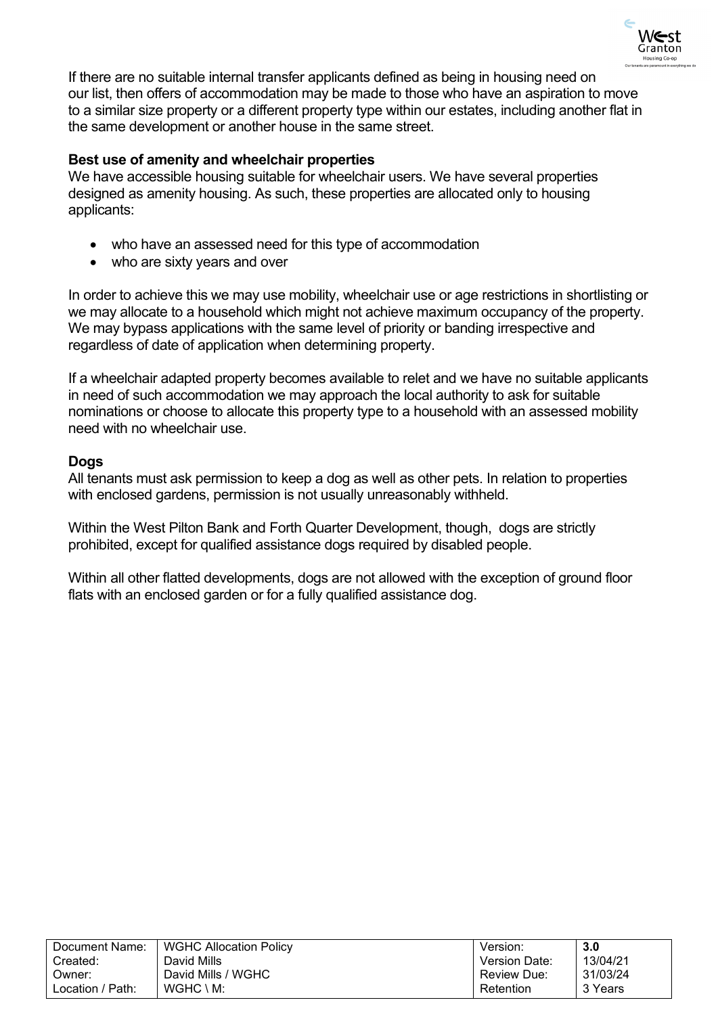

If there are no suitable internal transfer applicants defined as being in housing need on our list, then offers of accommodation may be made to those who have an aspiration to move to a similar size property or a different property type within our estates, including another flat in the same development or another house in the same street.

### **Best use of amenity and wheelchair properties**

We have accessible housing suitable for wheelchair users. We have several properties designed as amenity housing. As such, these properties are allocated only to housing applicants:

- who have an assessed need for this type of accommodation
- who are sixty years and over

In order to achieve this we may use mobility, wheelchair use or age restrictions in shortlisting or we may allocate to a household which might not achieve maximum occupancy of the property. We may bypass applications with the same level of priority or banding irrespective and regardless of date of application when determining property.

If a wheelchair adapted property becomes available to relet and we have no suitable applicants in need of such accommodation we may approach the local authority to ask for suitable nominations or choose to allocate this property type to a household with an assessed mobility need with no wheelchair use.

### **Dogs**

All tenants must ask permission to keep a dog as well as other pets. In relation to properties with enclosed gardens, permission is not usually unreasonably withheld.

Within the West Pilton Bank and Forth Quarter Development, though, dogs are strictly prohibited, except for qualified assistance dogs required by disabled people.

Within all other flatted developments, dogs are not allowed with the exception of ground floor flats with an enclosed garden or for a fully qualified assistance dog.

| Document Name:   | <b>WGHC Allocation Policy</b> | Version:      | 3.0      |
|------------------|-------------------------------|---------------|----------|
| Created:         | David Mills                   | Version Date: | 13/04/21 |
| Owner:           | David Mills / WGHC            | Review Due:   | 31/03/24 |
| Location / Path: | $WGHC \setminus M$ :          | Retention     | 3 Years  |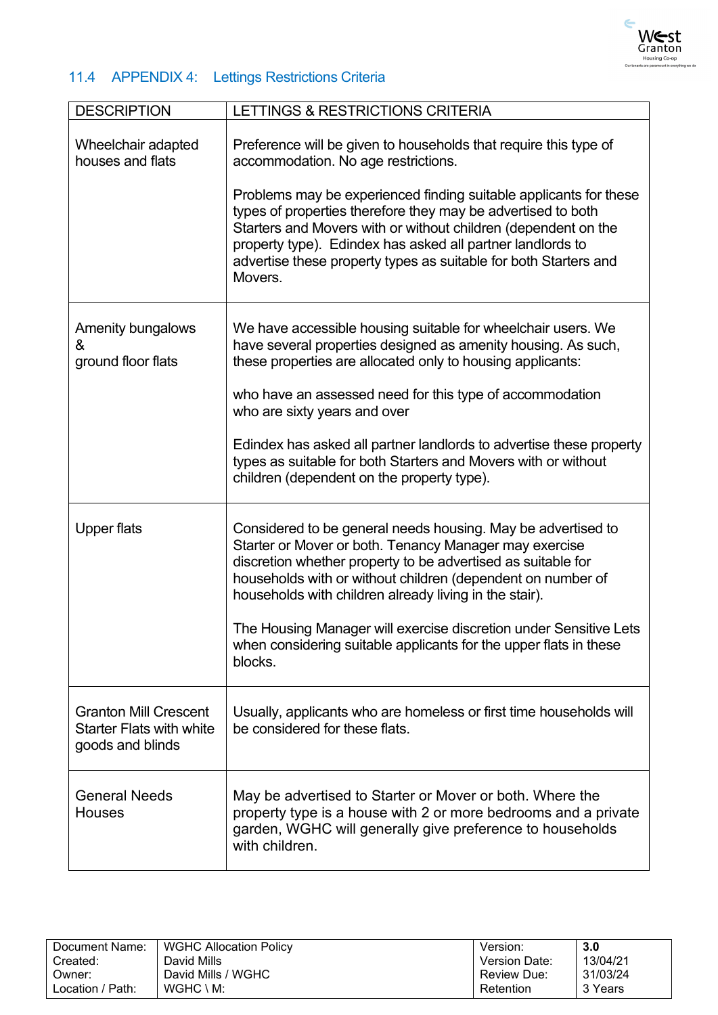

# <span id="page-37-0"></span>11.4 APPENDIX 4: Lettings Restrictions Criteria

| <b>DESCRIPTION</b>                                                                  | LETTINGS & RESTRICTIONS CRITERIA                                                                                                                                                                                                                                                                                                                                             |
|-------------------------------------------------------------------------------------|------------------------------------------------------------------------------------------------------------------------------------------------------------------------------------------------------------------------------------------------------------------------------------------------------------------------------------------------------------------------------|
| Wheelchair adapted<br>houses and flats                                              | Preference will be given to households that require this type of<br>accommodation. No age restrictions.<br>Problems may be experienced finding suitable applicants for these<br>types of properties therefore they may be advertised to both<br>Starters and Movers with or without children (dependent on the<br>property type). Edindex has asked all partner landlords to |
|                                                                                     | advertise these property types as suitable for both Starters and<br>Movers.                                                                                                                                                                                                                                                                                                  |
| Amenity bungalows<br>&<br>ground floor flats                                        | We have accessible housing suitable for wheelchair users. We<br>have several properties designed as amenity housing. As such,<br>these properties are allocated only to housing applicants:                                                                                                                                                                                  |
|                                                                                     | who have an assessed need for this type of accommodation<br>who are sixty years and over                                                                                                                                                                                                                                                                                     |
|                                                                                     | Edindex has asked all partner landlords to advertise these property<br>types as suitable for both Starters and Movers with or without<br>children (dependent on the property type).                                                                                                                                                                                          |
| <b>Upper flats</b>                                                                  | Considered to be general needs housing. May be advertised to<br>Starter or Mover or both. Tenancy Manager may exercise<br>discretion whether property to be advertised as suitable for<br>households with or without children (dependent on number of<br>households with children already living in the stair).                                                              |
|                                                                                     | The Housing Manager will exercise discretion under Sensitive Lets<br>when considering suitable applicants for the upper flats in these<br>blocks.                                                                                                                                                                                                                            |
| <b>Granton Mill Crescent</b><br><b>Starter Flats with white</b><br>goods and blinds | Usually, applicants who are homeless or first time households will<br>be considered for these flats.                                                                                                                                                                                                                                                                         |
| <b>General Needs</b><br><b>Houses</b>                                               | May be advertised to Starter or Mover or both. Where the<br>property type is a house with 2 or more bedrooms and a private<br>garden, WGHC will generally give preference to households<br>with children.                                                                                                                                                                    |

| Document Name:   | <b>WGHC Allocation Policy</b> | Version:             | 3.0      |
|------------------|-------------------------------|----------------------|----------|
| Created:         | David Mills                   | <b>Version Date:</b> | 13/04/21 |
| Owner:           | David Mills / WGHC            | Review Due:          | 31/03/24 |
| Location / Path: | $WGHC \setminus M$ :          | Retention            | 3 Years  |